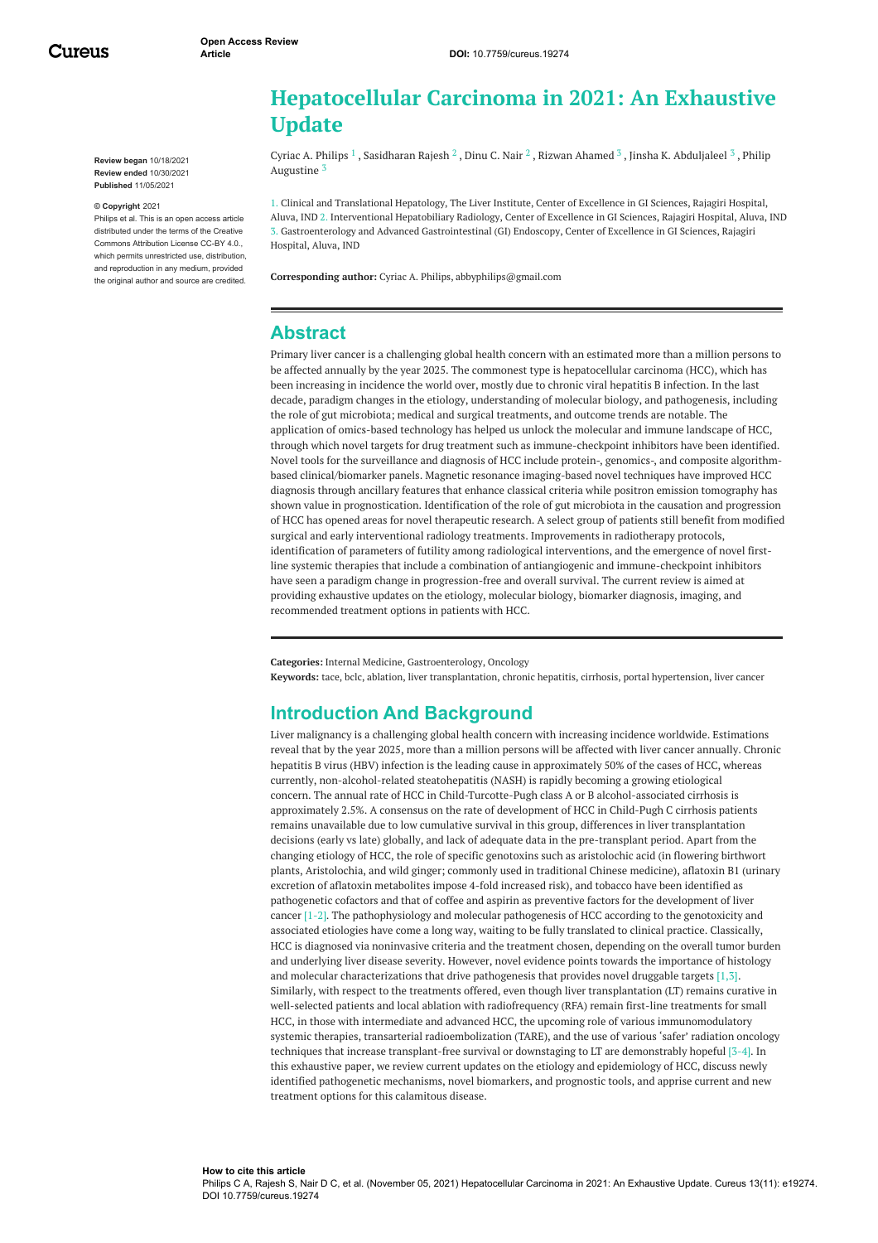Cureus

**Review began** 10/18/2021 **Review ended** 10/30/2021 **Published** 11/05/2021

#### **© Copyright** 2021

Philips et al. This is an open access article distributed under the terms of the Creative Commons Attribution License CC-BY 4.0., which permits unrestricted use, distribution, and reproduction in any medium, provided the original author and source are credited.

# **Hepatocellular Carcinoma in 2021: An Exhaustive Update**

Cyriac A. [Philips](https://www.cureus.com/users/36283-cyriac-a-philips)  $^1$  , [Sasidharan](https://www.cureus.com/users/290784-sasidharan-rajesh) Rajesh  $^2$  , [Dinu](https://www.cureus.com/users/290786-dinu-c-nair) C. Nair  $^2$  , Rizwan [Ahamed](https://www.cureus.com/users/114659-rizwan-ahamed)  $^3$  , Jinsha K. [Abduljaleel](https://www.cureus.com/users/290789-jinsha-abduljaleel)  $^3$  , Philip Augustine 3

1. Clinical and Translational Hepatology, The Liver Institute, Center of Excellence in GI Sciences, Rajagiri Hospital, Aluva, IND 2. Interventional Hepatobiliary Radiology, Center of Excellence in GI Sciences, Rajagiri Hospital, Aluva, IND 3. Gastroenterology and Advanced Gastrointestinal (GI) Endoscopy, Center of Excellence in GI Sciences, Rajagiri Hospital, Aluva, IND

**Corresponding author:** Cyriac A. Philips, abbyphilips@gmail.com

### **Abstract**

Primary liver cancer is a challenging global health concern with an estimated more than a million persons to be affected annually by the year 2025. The commonest type is hepatocellular carcinoma (HCC), which has been increasing in incidence the world over, mostly due to chronic viral hepatitis B infection. In the last decade, paradigm changes in the etiology, understanding of molecular biology, and pathogenesis, including the role of gut microbiota; medical and surgical treatments, and outcome trends are notable. The application of omics-based technology has helped us unlock the molecular and immune landscape of HCC, through which novel targets for drug treatment such as immune-checkpoint inhibitors have been identified. Novel tools for the surveillance and diagnosis of HCC include protein-, genomics-, and composite algorithmbased clinical/biomarker panels. Magnetic resonance imaging-based novel techniques have improved HCC diagnosis through ancillary features that enhance classical criteria while positron emission tomography has shown value in prognostication. Identification of the role of gut microbiota in the causation and progression of HCC has opened areas for novel therapeutic research. A select group of patients still benefit from modified surgical and early interventional radiology treatments. Improvements in radiotherapy protocols, identification of parameters of futility among radiological interventions, and the emergence of novel firstline systemic therapies that include a combination of antiangiogenic and immune-checkpoint inhibitors have seen a paradigm change in progression-free and overall survival. The current review is aimed at providing exhaustive updates on the etiology, molecular biology, biomarker diagnosis, imaging, and recommended treatment options in patients with HCC.

**Categories:** Internal Medicine, Gastroenterology, Oncology **Keywords:** tace, bclc, ablation, liver transplantation, chronic hepatitis, cirrhosis, portal hypertension, liver cancer

## **Introduction And Background**

Liver malignancy is a challenging global health concern with increasing incidence worldwide. Estimations reveal that by the year 2025, more than a million persons will be affected with liver cancer annually. Chronic hepatitis B virus (HBV) infection is the leading cause in approximately 50% of the cases of HCC, whereas currently, non-alcohol-related steatohepatitis (NASH) is rapidly becoming a growing etiological concern. The annual rate of HCC in Child-Turcotte-Pugh class A or B alcohol-associated cirrhosis is approximately 2.5%. A consensus on the rate of development of HCC in Child-Pugh C cirrhosis patients remains unavailable due to low cumulative survival in this group, differences in liver transplantation decisions (early vs late) globally, and lack of adequate data in the pre-transplant period. Apart from the changing etiology of HCC, the role of specific genotoxins such as aristolochic acid (in flowering birthwort plants, Aristolochia, and wild ginger; commonly used in traditional Chinese medicine), aflatoxin B1 (urinary excretion of aflatoxin metabolites impose 4-fold increased risk), and tobacco have been identified as pathogenetic cofactors and that of coffee and aspirin as preventive factors for the development of liver cancer [1-2]. The pathophysiology and molecular pathogenesis of HCC according to the genotoxicity and associated etiologies have come a long way, waiting to be fully translated to clinical practice. Classically, HCC is diagnosed via noninvasive criteria and the treatment chosen, depending on the overall tumor burden and underlying liver disease severity. However, novel evidence points towards the importance of histology and molecular characterizations that drive pathogenesis that provides novel druggable targets [1,3]. Similarly, with respect to the treatments offered, even though liver transplantation (LT) remains curative in well-selected patients and local ablation with radiofrequency (RFA) remain first-line treatments for small HCC, in those with intermediate and advanced HCC, the upcoming role of various immunomodulatory systemic therapies, transarterial radioembolization (TARE), and the use of various 'safer' radiation oncology techniques that increase transplant-free survival or downstaging to LT are demonstrably hopeful [3-4]. In this exhaustive paper, we review current updates on the etiology and epidemiology of HCC, discuss newly identified pathogenetic mechanisms, novel biomarkers, and prognostic tools, and apprise current and new treatment options for this calamitous disease.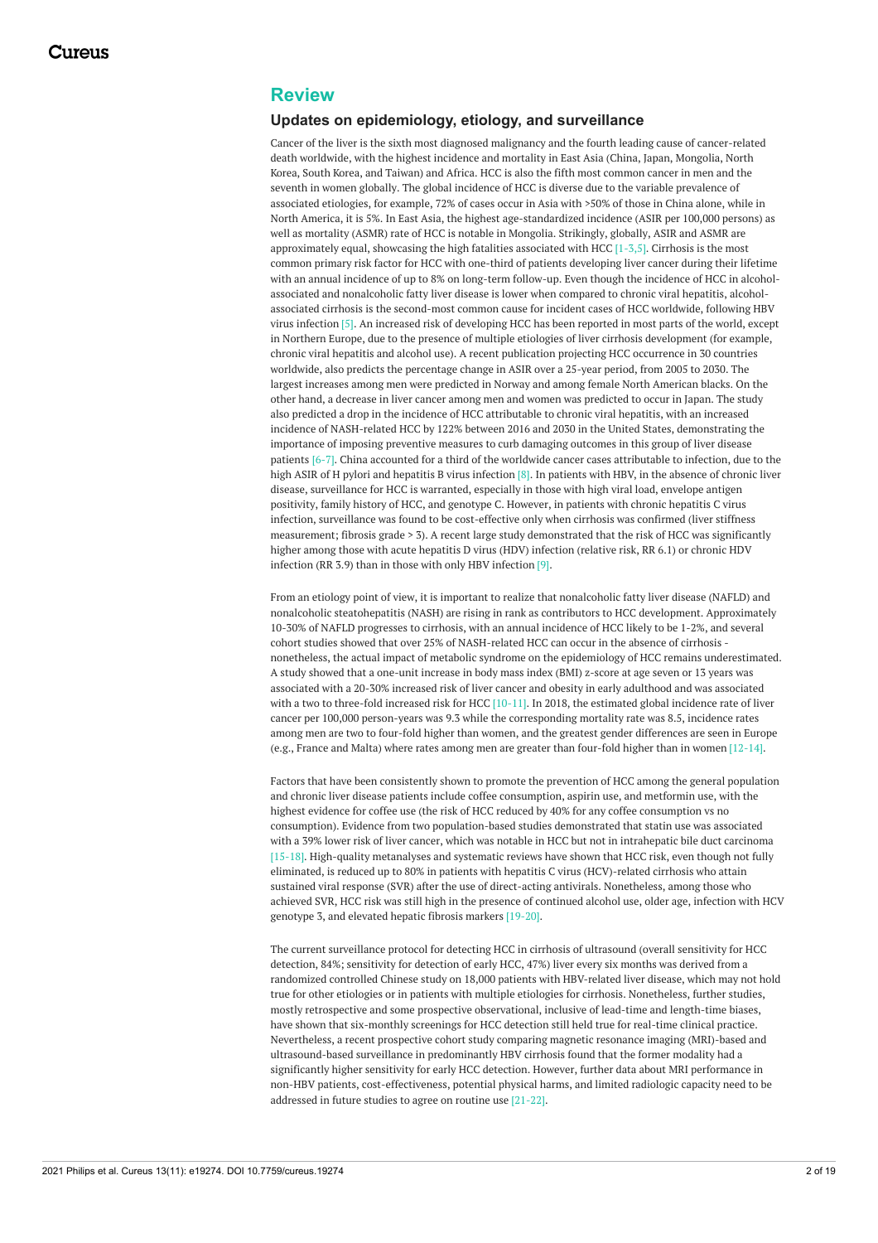## **Review**

#### **Updates on epidemiology, etiology, and surveillance**

Cancer of the liver is the sixth most diagnosed malignancy and the fourth leading cause of cancer-related death worldwide, with the highest incidence and mortality in East Asia (China, Japan, Mongolia, North Korea, South Korea, and Taiwan) and Africa. HCC is also the fifth most common cancer in men and the seventh in women globally. The global incidence of HCC is diverse due to the variable prevalence of associated etiologies, for example, 72% of cases occur in Asia with >50% of those in China alone, while in North America, it is 5%. In East Asia, the highest age-standardized incidence (ASIR per 100,000 persons) as well as mortality (ASMR) rate of HCC is notable in Mongolia. Strikingly, globally, ASIR and ASMR are approximately equal, showcasing the high fatalities associated with HCC  $[1-3,5]$ . Cirrhosis is the most common primary risk factor for HCC with one-third of patients developing liver cancer during their lifetime with an annual incidence of up to 8% on long-term follow-up. Even though the incidence of HCC in alcoholassociated and nonalcoholic fatty liver disease is lower when compared to chronic viral hepatitis, alcoholassociated cirrhosis is the second-most common cause for incident cases of HCC worldwide, following HBV virus infection [5]. An increased risk of developing HCC has been reported in most parts of the world, except in Northern Europe, due to the presence of multiple etiologies of liver cirrhosis development (for example, chronic viral hepatitis and alcohol use). A recent publication projecting HCC occurrence in 30 countries worldwide, also predicts the percentage change in ASIR over a 25-year period, from 2005 to 2030. The largest increases among men were predicted in Norway and among female North American blacks. On the other hand, a decrease in liver cancer among men and women was predicted to occur in Japan. The study also predicted a drop in the incidence of HCC attributable to chronic viral hepatitis, with an increased incidence of NASH-related HCC by 122% between 2016 and 2030 in the United States, demonstrating the importance of imposing preventive measures to curb damaging outcomes in this group of liver disease patients [6-7]. China accounted for a third of the worldwide cancer cases attributable to infection, due to the high ASIR of H pylori and hepatitis B virus infection [8]. In patients with HBV, in the absence of chronic liver disease, surveillance for HCC is warranted, especially in those with high viral load, envelope antigen positivity, family history of HCC, and genotype C. However, in patients with chronic hepatitis C virus infection, surveillance was found to be cost-effective only when cirrhosis was confirmed (liver stiffness measurement; fibrosis grade > 3). A recent large study demonstrated that the risk of HCC was significantly higher among those with acute hepatitis D virus (HDV) infection (relative risk, RR 6.1) or chronic HDV infection (RR 3.9) than in those with only HBV infection [9].

From an etiology point of view, it is important to realize that nonalcoholic fatty liver disease (NAFLD) and nonalcoholic steatohepatitis (NASH) are rising in rank as contributors to HCC development. Approximately 10-30% of NAFLD progresses to cirrhosis, with an annual incidence of HCC likely to be 1-2%, and several cohort studies showed that over 25% of NASH-related HCC can occur in the absence of cirrhosis nonetheless, the actual impact of metabolic syndrome on the epidemiology of HCC remains underestimated. A study showed that a one-unit increase in body mass index (BMI) z-score at age seven or 13 years was associated with a 20-30% increased risk of liver cancer and obesity in early adulthood and was associated with a two to three-fold increased risk for HCC [10-11]. In 2018, the estimated global incidence rate of liver cancer per 100,000 person-years was 9.3 while the corresponding mortality rate was 8.5, incidence rates among men are two to four-fold higher than women, and the greatest gender differences are seen in Europe (e.g., France and Malta) where rates among men are greater than four-fold higher than in women [12-14].

Factors that have been consistently shown to promote the prevention of HCC among the general population and chronic liver disease patients include coffee consumption, aspirin use, and metformin use, with the highest evidence for coffee use (the risk of HCC reduced by 40% for any coffee consumption vs no consumption). Evidence from two population-based studies demonstrated that statin use was associated with a 39% lower risk of liver cancer, which was notable in HCC but not in intrahepatic bile duct carcinoma [15-18]. High-quality metanalyses and systematic reviews have shown that HCC risk, even though not fully eliminated, is reduced up to 80% in patients with hepatitis C virus (HCV)-related cirrhosis who attain sustained viral response (SVR) after the use of direct-acting antivirals. Nonetheless, among those who achieved SVR, HCC risk was still high in the presence of continued alcohol use, older age, infection with HCV genotype 3, and elevated hepatic fibrosis markers [19-20].

The current surveillance protocol for detecting HCC in cirrhosis of ultrasound (overall sensitivity for HCC detection, 84%; sensitivity for detection of early HCC, 47%) liver every six months was derived from a randomized controlled Chinese study on 18,000 patients with HBV-related liver disease, which may not hold true for other etiologies or in patients with multiple etiologies for cirrhosis. Nonetheless, further studies, mostly retrospective and some prospective observational, inclusive of lead-time and length-time biases, have shown that six-monthly screenings for HCC detection still held true for real-time clinical practice. Nevertheless, a recent prospective cohort study comparing magnetic resonance imaging (MRI)-based and ultrasound-based surveillance in predominantly HBV cirrhosis found that the former modality had a significantly higher sensitivity for early HCC detection. However, further data about MRI performance in non-HBV patients, cost-effectiveness, potential physical harms, and limited radiologic capacity need to be addressed in future studies to agree on routine use [21-22].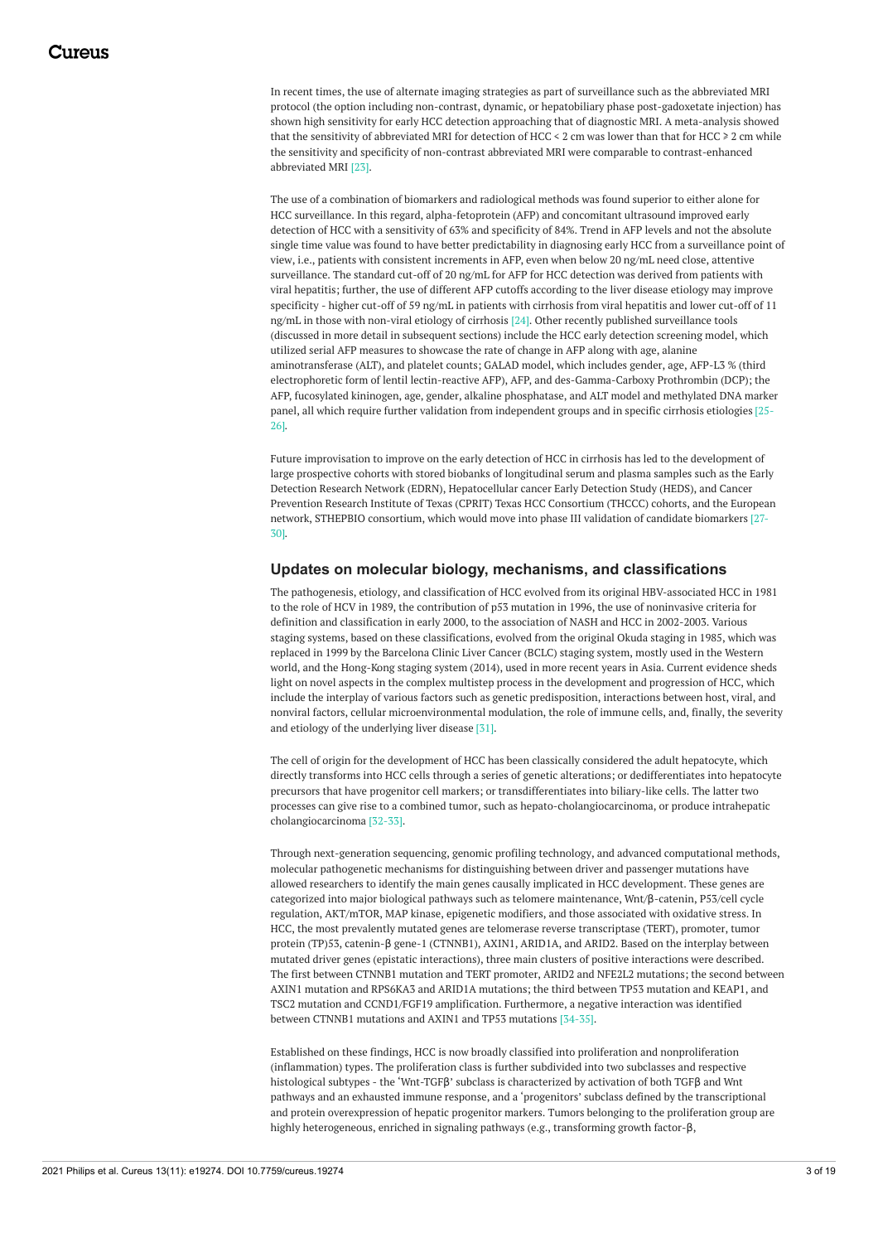In recent times, the use of alternate imaging strategies as part of surveillance such as the abbreviated MRI protocol (the option including non-contrast, dynamic, or hepatobiliary phase post-gadoxetate injection) has shown high sensitivity for early HCC detection approaching that of diagnostic MRI. A meta-analysis showed that the sensitivity of abbreviated MRI for detection of HCC < 2 cm was lower than that for HCC ≥ 2 cm while the sensitivity and specificity of non-contrast abbreviated MRI were comparable to contrast-enhanced abbreviated MRI [23].

The use of a combination of biomarkers and radiological methods was found superior to either alone for HCC surveillance. In this regard, alpha-fetoprotein (AFP) and concomitant ultrasound improved early detection of HCC with a sensitivity of 63% and specificity of 84%. Trend in AFP levels and not the absolute single time value was found to have better predictability in diagnosing early HCC from a surveillance point of view, i.e., patients with consistent increments in AFP, even when below 20 ng/mL need close, attentive surveillance. The standard cut-off of 20 ng/mL for AFP for HCC detection was derived from patients with viral hepatitis; further, the use of different AFP cutoffs according to the liver disease etiology may improve specificity - higher cut-off of 59 ng/mL in patients with cirrhosis from viral hepatitis and lower cut-off of 11 ng/mL in those with non-viral etiology of cirrhosis [24]. Other recently published surveillance tools (discussed in more detail in subsequent sections) include the HCC early detection screening model, which utilized serial AFP measures to showcase the rate of change in AFP along with age, alanine aminotransferase (ALT), and platelet counts; GALAD model, which includes gender, age, AFP-L3 % (third electrophoretic form of lentil lectin-reactive AFP), AFP, and des-Gamma-Carboxy Prothrombin (DCP); the AFP, fucosylated kininogen, age, gender, alkaline phosphatase, and ALT model and methylated DNA marker panel, all which require further validation from independent groups and in specific cirrhosis etiologies [25- 26].

Future improvisation to improve on the early detection of HCC in cirrhosis has led to the development of large prospective cohorts with stored biobanks of longitudinal serum and plasma samples such as the Early Detection Research Network (EDRN), Hepatocellular cancer Early Detection Study (HEDS), and Cancer Prevention Research Institute of Texas (CPRIT) Texas HCC Consortium (THCCC) cohorts, and the European network, STHEPBIO consortium, which would move into phase III validation of candidate biomarkers [27- 30].

#### **Updates on molecular biology, mechanisms, and classifications**

The pathogenesis, etiology, and classification of HCC evolved from its original HBV-associated HCC in 1981 to the role of HCV in 1989, the contribution of p53 mutation in 1996, the use of noninvasive criteria for definition and classification in early 2000, to the association of NASH and HCC in 2002-2003. Various staging systems, based on these classifications, evolved from the original Okuda staging in 1985, which was replaced in 1999 by the Barcelona Clinic Liver Cancer (BCLC) staging system, mostly used in the Western world, and the Hong-Kong staging system (2014), used in more recent years in Asia. Current evidence sheds light on novel aspects in the complex multistep process in the development and progression of HCC, which include the interplay of various factors such as genetic predisposition, interactions between host, viral, and nonviral factors, cellular microenvironmental modulation, the role of immune cells, and, finally, the severity and etiology of the underlying liver disease [31].

The cell of origin for the development of HCC has been classically considered the adult hepatocyte, which directly transforms into HCC cells through a series of genetic alterations; or dedifferentiates into hepatocyte precursors that have progenitor cell markers; or transdifferentiates into biliary-like cells. The latter two processes can give rise to a combined tumor, such as hepato-cholangiocarcinoma, or produce intrahepatic cholangiocarcinoma [32-33].

Through next-generation sequencing, genomic profiling technology, and advanced computational methods, molecular pathogenetic mechanisms for distinguishing between driver and passenger mutations have allowed researchers to identify the main genes causally implicated in HCC development. These genes are categorized into major biological pathways such as telomere maintenance, Wnt/β-catenin, P53/cell cycle regulation, AKT/mTOR, MAP kinase, epigenetic modifiers, and those associated with oxidative stress. In HCC, the most prevalently mutated genes are telomerase reverse transcriptase (TERT), promoter, tumor protein (TP)53, catenin-β gene-1 (CTNNB1), AXIN1, ARID1A, and ARID2. Based on the interplay between mutated driver genes (epistatic interactions), three main clusters of positive interactions were described. The first between CTNNB1 mutation and TERT promoter, ARID2 and NFE2L2 mutations; the second between AXIN1 mutation and RPS6KA3 and ARID1A mutations; the third between TP53 mutation and KEAP1, and TSC2 mutation and CCND1/FGF19 amplification. Furthermore, a negative interaction was identified between CTNNB1 mutations and AXIN1 and TP53 mutations [34-35].

Established on these findings, HCC is now broadly classified into proliferation and nonproliferation (inflammation) types. The proliferation class is further subdivided into two subclasses and respective histological subtypes - the 'Wnt-TGFβ' subclass is characterized by activation of both TGFβ and Wnt pathways and an exhausted immune response, and a 'progenitors' subclass defined by the transcriptional and protein overexpression of hepatic progenitor markers. Tumors belonging to the proliferation group are highly heterogeneous, enriched in signaling pathways (e.g., transforming growth factor-β,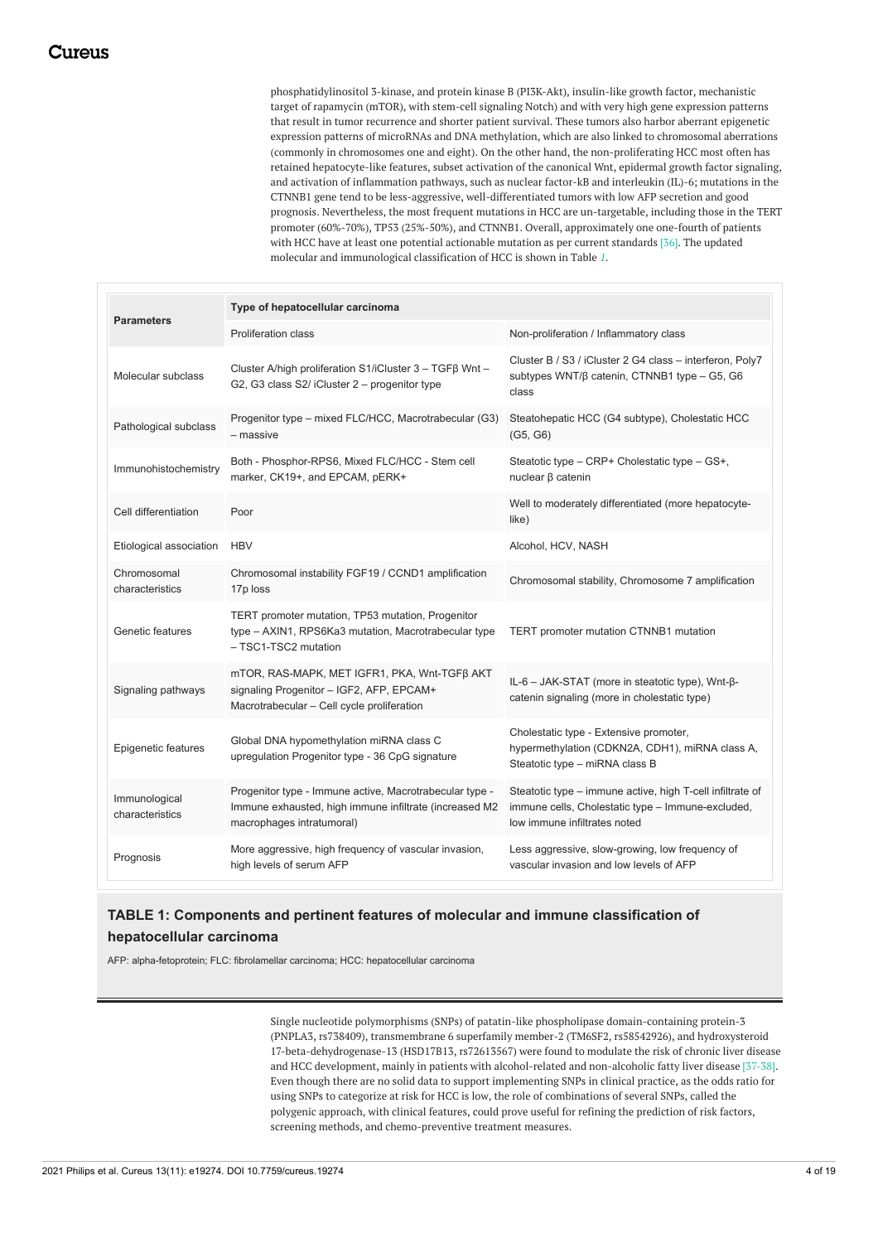phosphatidylinositol 3-kinase, and protein kinase B (PI3K-Akt), insulin-like growth factor, mechanistic target of rapamycin (mTOR), with stem-cell signaling Notch) and with very high gene expression patterns that result in tumor recurrence and shorter patient survival. These tumors also harbor aberrant epigenetic expression patterns of microRNAs and DNA methylation, which are also linked to chromosomal aberrations (commonly in chromosomes one and eight). On the other hand, the non-proliferating HCC most often has retained hepatocyte-like features, subset activation of the canonical Wnt, epidermal growth factor signaling, and activation of inflammation pathways, such as nuclear factor-kB and interleukin (IL)-6; mutations in the CTNNB1 gene tend to be less-aggressive, well-differentiated tumors with low AFP secretion and good prognosis. Nevertheless, the most frequent mutations in HCC are un-targetable, including those in the TERT promoter (60%-70%), TP53 (25%-50%), and CTNNB1. Overall, approximately one one-fourth of patients with HCC have at least one potential actionable mutation as per current standards [36]. The updated molecular and immunological classification of HCC is shown in Table *[1](#page-3-0)*.

<span id="page-3-0"></span>

| <b>Parameters</b>                | Type of hepatocellular carcinoma                                                                                                               |                                                                                                                                                |  |  |
|----------------------------------|------------------------------------------------------------------------------------------------------------------------------------------------|------------------------------------------------------------------------------------------------------------------------------------------------|--|--|
|                                  | <b>Proliferation class</b>                                                                                                                     | Non-proliferation / Inflammatory class                                                                                                         |  |  |
| Molecular subclass               | Cluster A/high proliferation S1/iCluster 3 - TGFβ Wnt -<br>G2, G3 class S2/ iCluster 2 - progenitor type                                       | Cluster B / S3 / iCluster 2 G4 class - interferon, Poly7<br>subtypes WNT/β catenin, CTNNB1 type - G5, G6<br>class                              |  |  |
| Pathological subclass            | Progenitor type - mixed FLC/HCC, Macrotrabecular (G3)<br>- massive                                                                             | Steatohepatic HCC (G4 subtype), Cholestatic HCC<br>(G5, G6)                                                                                    |  |  |
| Immunohistochemistry             | Both - Phosphor-RPS6, Mixed FLC/HCC - Stem cell<br>marker, CK19+, and EPCAM, pERK+                                                             | Steatotic type - CRP+ Cholestatic type - GS+,<br>nuclear β catenin                                                                             |  |  |
| Cell differentiation             | Poor                                                                                                                                           | Well to moderately differentiated (more hepatocyte-<br>like)                                                                                   |  |  |
| Etiological association          | <b>HBV</b>                                                                                                                                     | Alcohol, HCV, NASH                                                                                                                             |  |  |
| Chromosomal<br>characteristics   | Chromosomal instability FGF19 / CCND1 amplification<br>17p loss                                                                                | Chromosomal stability, Chromosome 7 amplification                                                                                              |  |  |
| Genetic features                 | TERT promoter mutation, TP53 mutation, Progenitor<br>type - AXIN1, RPS6Ka3 mutation, Macrotrabecular type<br>- TSC1-TSC2 mutation              | TERT promoter mutation CTNNB1 mutation                                                                                                         |  |  |
| Signaling pathways               | mTOR, RAS-MAPK, MET IGFR1, PKA, Wnt-TGFβ AKT<br>signaling Progenitor - IGF2, AFP, EPCAM+<br>Macrotrabecular - Cell cycle proliferation         | IL-6 - JAK-STAT (more in steatotic type), Wnt-β-<br>catenin signaling (more in cholestatic type)                                               |  |  |
| Epigenetic features              | Global DNA hypomethylation miRNA class C<br>upregulation Progenitor type - 36 CpG signature                                                    | Cholestatic type - Extensive promoter,<br>hypermethylation (CDKN2A, CDH1), miRNA class A,<br>Steatotic type - miRNA class B                    |  |  |
| Immunological<br>characteristics | Progenitor type - Immune active, Macrotrabecular type -<br>Immune exhausted, high immune infiltrate (increased M2<br>macrophages intratumoral) | Steatotic type - immune active, high T-cell infiltrate of<br>immune cells, Cholestatic type - Immune-excluded,<br>low immune infiltrates noted |  |  |
| Prognosis                        | More aggressive, high frequency of vascular invasion,<br>high levels of serum AFP                                                              | Less aggressive, slow-growing, low frequency of<br>vascular invasion and low levels of AFP                                                     |  |  |

## **TABLE 1: Components and pertinent features of molecular and immune classification of hepatocellular carcinoma**

AFP: alpha-fetoprotein; FLC: fibrolamellar carcinoma; HCC: hepatocellular carcinoma

Single nucleotide polymorphisms (SNPs) of patatin-like phospholipase domain-containing protein-3 (PNPLA3, rs738409), transmembrane 6 superfamily member-2 (TM6SF2, rs58542926), and hydroxysteroid 17-beta-dehydrogenase-13 (HSD17B13, rs72613567) were found to modulate the risk of chronic liver disease and HCC development, mainly in patients with alcohol-related and non-alcoholic fatty liver disease [37-38]. Even though there are no solid data to support implementing SNPs in clinical practice, as the odds ratio for using SNPs to categorize at risk for HCC is low, the role of combinations of several SNPs, called the polygenic approach, with clinical features, could prove useful for refining the prediction of risk factors, screening methods, and chemo-preventive treatment measures.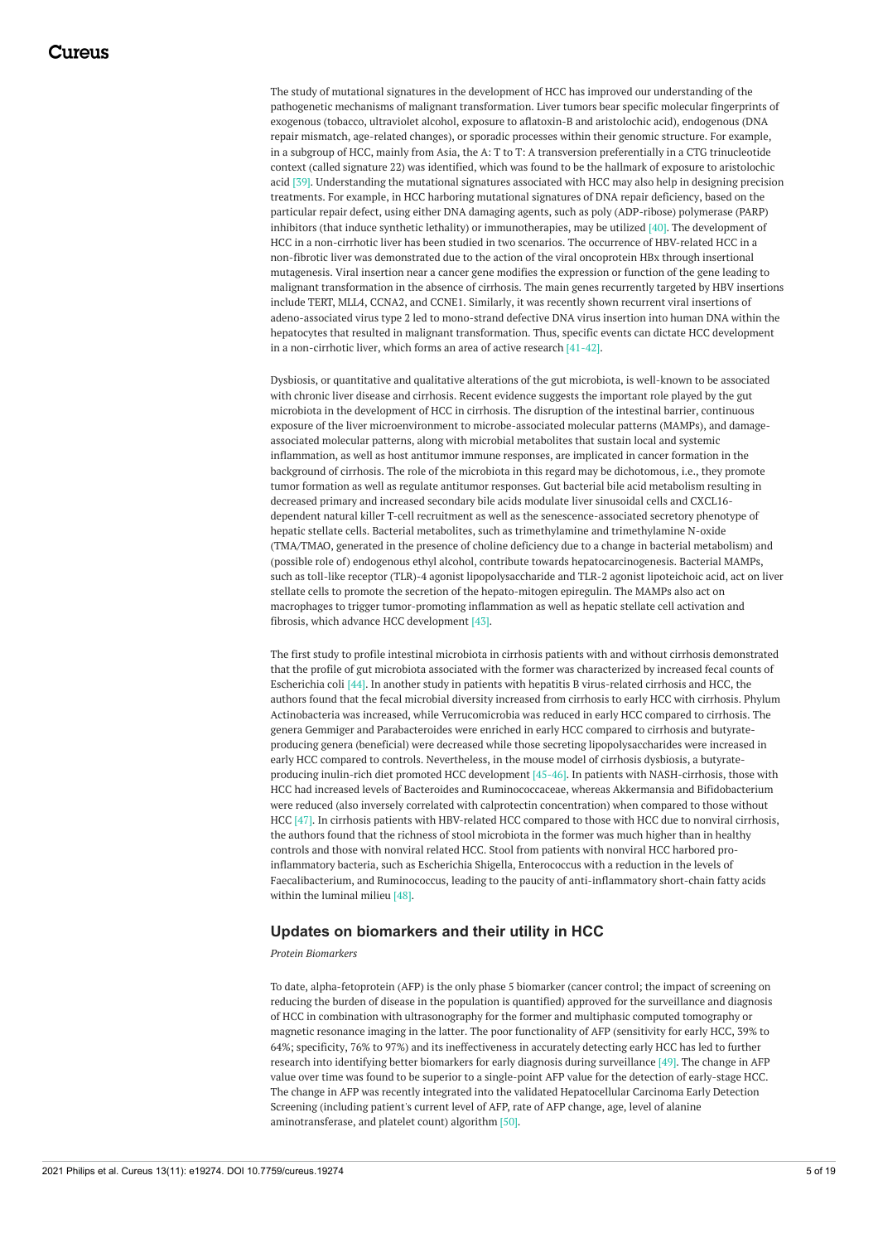The study of mutational signatures in the development of HCC has improved our understanding of the pathogenetic mechanisms of malignant transformation. Liver tumors bear specific molecular fingerprints of exogenous (tobacco, ultraviolet alcohol, exposure to aflatoxin-B and aristolochic acid), endogenous (DNA repair mismatch, age-related changes), or sporadic processes within their genomic structure. For example, in a subgroup of HCC, mainly from Asia, the A: T to T: A transversion preferentially in a CTG trinucleotide context (called signature 22) was identified, which was found to be the hallmark of exposure to aristolochic acid [39]. Understanding the mutational signatures associated with HCC may also help in designing precision treatments. For example, in HCC harboring mutational signatures of DNA repair deficiency, based on the particular repair defect, using either DNA damaging agents, such as poly (ADP-ribose) polymerase (PARP) inhibitors (that induce synthetic lethality) or immunotherapies, may be utilized [40]. The development of HCC in a non-cirrhotic liver has been studied in two scenarios. The occurrence of HBV-related HCC in a non-fibrotic liver was demonstrated due to the action of the viral oncoprotein HBx through insertional mutagenesis. Viral insertion near a cancer gene modifies the expression or function of the gene leading to malignant transformation in the absence of cirrhosis. The main genes recurrently targeted by HBV insertions include TERT, MLL4, CCNA2, and CCNE1. Similarly, it was recently shown recurrent viral insertions of adeno-associated virus type 2 led to mono-strand defective DNA virus insertion into human DNA within the hepatocytes that resulted in malignant transformation. Thus, specific events can dictate HCC development in a non-cirrhotic liver, which forms an area of active research [41-42].

Dysbiosis, or quantitative and qualitative alterations of the gut microbiota, is well-known to be associated with chronic liver disease and cirrhosis. Recent evidence suggests the important role played by the gut microbiota in the development of HCC in cirrhosis. The disruption of the intestinal barrier, continuous exposure of the liver microenvironment to microbe-associated molecular patterns (MAMPs), and damageassociated molecular patterns, along with microbial metabolites that sustain local and systemic inflammation, as well as host antitumor immune responses, are implicated in cancer formation in the background of cirrhosis. The role of the microbiota in this regard may be dichotomous, i.e., they promote tumor formation as well as regulate antitumor responses. Gut bacterial bile acid metabolism resulting in decreased primary and increased secondary bile acids modulate liver sinusoidal cells and CXCL16 dependent natural killer T-cell recruitment as well as the senescence-associated secretory phenotype of hepatic stellate cells. Bacterial metabolites, such as trimethylamine and trimethylamine N-oxide (TMA/TMAO, generated in the presence of choline deficiency due to a change in bacterial metabolism) and (possible role of) endogenous ethyl alcohol, contribute towards hepatocarcinogenesis. Bacterial MAMPs, such as toll-like receptor (TLR)-4 agonist lipopolysaccharide and TLR-2 agonist lipoteichoic acid, act on liver stellate cells to promote the secretion of the hepato-mitogen epiregulin. The MAMPs also act on macrophages to trigger tumor-promoting inflammation as well as hepatic stellate cell activation and fibrosis, which advance HCC development [43].

The first study to profile intestinal microbiota in cirrhosis patients with and without cirrhosis demonstrated that the profile of gut microbiota associated with the former was characterized by increased fecal counts of Escherichia coli [44]. In another study in patients with hepatitis B virus-related cirrhosis and HCC, the authors found that the fecal microbial diversity increased from cirrhosis to early HCC with cirrhosis. Phylum Actinobacteria was increased, while Verrucomicrobia was reduced in early HCC compared to cirrhosis. The genera Gemmiger and Parabacteroides were enriched in early HCC compared to cirrhosis and butyrateproducing genera (beneficial) were decreased while those secreting lipopolysaccharides were increased in early HCC compared to controls. Nevertheless, in the mouse model of cirrhosis dysbiosis, a butyrateproducing inulin-rich diet promoted HCC development [45-46]. In patients with NASH-cirrhosis, those with HCC had increased levels of Bacteroides and Ruminococcaceae, whereas Akkermansia and Bifidobacterium were reduced (also inversely correlated with calprotectin concentration) when compared to those without HCC [47]. In cirrhosis patients with HBV-related HCC compared to those with HCC due to nonviral cirrhosis, the authors found that the richness of stool microbiota in the former was much higher than in healthy controls and those with nonviral related HCC. Stool from patients with nonviral HCC harbored proinflammatory bacteria, such as Escherichia Shigella, Enterococcus with a reduction in the levels of Faecalibacterium, and Ruminococcus, leading to the paucity of anti-inflammatory short-chain fatty acids within the luminal milieu [48].

#### **Updates on biomarkers and their utility in HCC**

#### *Protein Biomarkers*

To date, alpha-fetoprotein (AFP) is the only phase 5 biomarker (cancer control; the impact of screening on reducing the burden of disease in the population is quantified) approved for the surveillance and diagnosis of HCC in combination with ultrasonography for the former and multiphasic computed tomography or magnetic resonance imaging in the latter. The poor functionality of AFP (sensitivity for early HCC, 39% to 64%; specificity, 76% to 97%) and its ineffectiveness in accurately detecting early HCC has led to further research into identifying better biomarkers for early diagnosis during surveillance [49]. The change in AFP value over time was found to be superior to a single-point AFP value for the detection of early-stage HCC. The change in AFP was recently integrated into the validated Hepatocellular Carcinoma Early Detection Screening (including patient's current level of AFP, rate of AFP change, age, level of alanine aminotransferase, and platelet count) algorithm [50].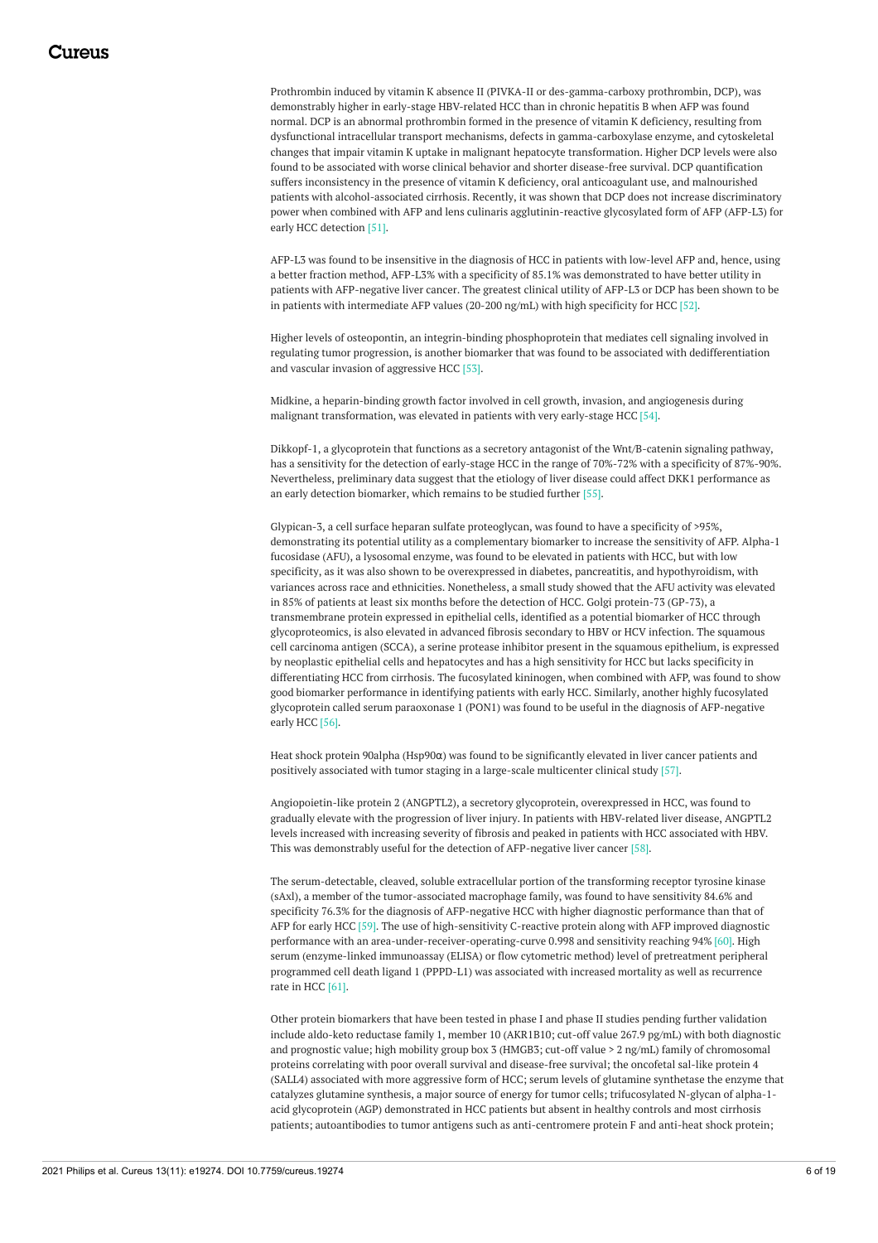Prothrombin induced by vitamin K absence II (PIVKA-II or des-gamma-carboxy prothrombin, DCP), was demonstrably higher in early-stage HBV-related HCC than in chronic hepatitis B when AFP was found normal. DCP is an abnormal prothrombin formed in the presence of vitamin K deficiency, resulting from dysfunctional intracellular transport mechanisms, defects in gamma-carboxylase enzyme, and cytoskeletal changes that impair vitamin K uptake in malignant hepatocyte transformation. Higher DCP levels were also found to be associated with worse clinical behavior and shorter disease-free survival. DCP quantification suffers inconsistency in the presence of vitamin K deficiency, oral anticoagulant use, and malnourished patients with alcohol-associated cirrhosis. Recently, it was shown that DCP does not increase discriminatory power when combined with AFP and lens culinaris agglutinin-reactive glycosylated form of AFP (AFP-L3) for early HCC detection [51].

AFP-L3 was found to be insensitive in the diagnosis of HCC in patients with low-level AFP and, hence, using a better fraction method, AFP-L3% with a specificity of 85.1% was demonstrated to have better utility in patients with AFP-negative liver cancer. The greatest clinical utility of AFP-L3 or DCP has been shown to be in patients with intermediate AFP values (20-200 ng/mL) with high specificity for HCC [52].

Higher levels of osteopontin, an integrin-binding phosphoprotein that mediates cell signaling involved in regulating tumor progression, is another biomarker that was found to be associated with dedifferentiation and vascular invasion of aggressive HCC [53].

Midkine, a heparin-binding growth factor involved in cell growth, invasion, and angiogenesis during malignant transformation, was elevated in patients with very early-stage HCC [54].

Dikkopf-1, a glycoprotein that functions as a secretory antagonist of the Wnt/B-catenin signaling pathway, has a sensitivity for the detection of early-stage HCC in the range of 70%-72% with a specificity of 87%-90%. Nevertheless, preliminary data suggest that the etiology of liver disease could affect DKK1 performance as an early detection biomarker, which remains to be studied further [55].

Glypican-3, a cell surface heparan sulfate proteoglycan, was found to have a specificity of >95%, demonstrating its potential utility as a complementary biomarker to increase the sensitivity of AFP. Alpha-1 fucosidase (AFU), a lysosomal enzyme, was found to be elevated in patients with HCC, but with low specificity, as it was also shown to be overexpressed in diabetes, pancreatitis, and hypothyroidism, with variances across race and ethnicities. Nonetheless, a small study showed that the AFU activity was elevated in 85% of patients at least six months before the detection of HCC. Golgi protein-73 (GP-73), a transmembrane protein expressed in epithelial cells, identified as a potential biomarker of HCC through glycoproteomics, is also elevated in advanced fibrosis secondary to HBV or HCV infection. The squamous cell carcinoma antigen (SCCA), a serine protease inhibitor present in the squamous epithelium, is expressed by neoplastic epithelial cells and hepatocytes and has a high sensitivity for HCC but lacks specificity in differentiating HCC from cirrhosis. The fucosylated kininogen, when combined with AFP, was found to show good biomarker performance in identifying patients with early HCC. Similarly, another highly fucosylated glycoprotein called serum paraoxonase 1 (PON1) was found to be useful in the diagnosis of AFP-negative early HCC [56].

Heat shock protein 90alpha (Hsp90α) was found to be significantly elevated in liver cancer patients and positively associated with tumor staging in a large-scale multicenter clinical study [57].

Angiopoietin-like protein 2 (ANGPTL2), a secretory glycoprotein, overexpressed in HCC, was found to gradually elevate with the progression of liver injury. In patients with HBV-related liver disease, ANGPTL2 levels increased with increasing severity of fibrosis and peaked in patients with HCC associated with HBV. This was demonstrably useful for the detection of AFP-negative liver cancer [58].

The serum-detectable, cleaved, soluble extracellular portion of the transforming receptor tyrosine kinase (sAxl), a member of the tumor-associated macrophage family, was found to have sensitivity 84.6% and specificity 76.3% for the diagnosis of AFP-negative HCC with higher diagnostic performance than that of AFP for early HCC [59]. The use of high-sensitivity C-reactive protein along with AFP improved diagnostic performance with an area-under-receiver-operating-curve 0.998 and sensitivity reaching 94% [60]. High serum (enzyme-linked immunoassay (ELISA) or flow cytometric method) level of pretreatment peripheral programmed cell death ligand 1 (PPPD-L1) was associated with increased mortality as well as recurrence rate in HCC [61].

Other protein biomarkers that have been tested in phase I and phase II studies pending further validation include aldo-keto reductase family 1, member 10 (AKR1B10; cut-off value 267.9 pg/mL) with both diagnostic and prognostic value; high mobility group box 3 (HMGB3; cut-off value > 2 ng/mL) family of chromosomal proteins correlating with poor overall survival and disease-free survival; the oncofetal sal-like protein 4 (SALL4) associated with more aggressive form of HCC; serum levels of glutamine synthetase the enzyme that catalyzes glutamine synthesis, a major source of energy for tumor cells; trifucosylated N-glycan of alpha-1 acid glycoprotein (AGP) demonstrated in HCC patients but absent in healthy controls and most cirrhosis patients; autoantibodies to tumor antigens such as anti-centromere protein F and anti-heat shock protein;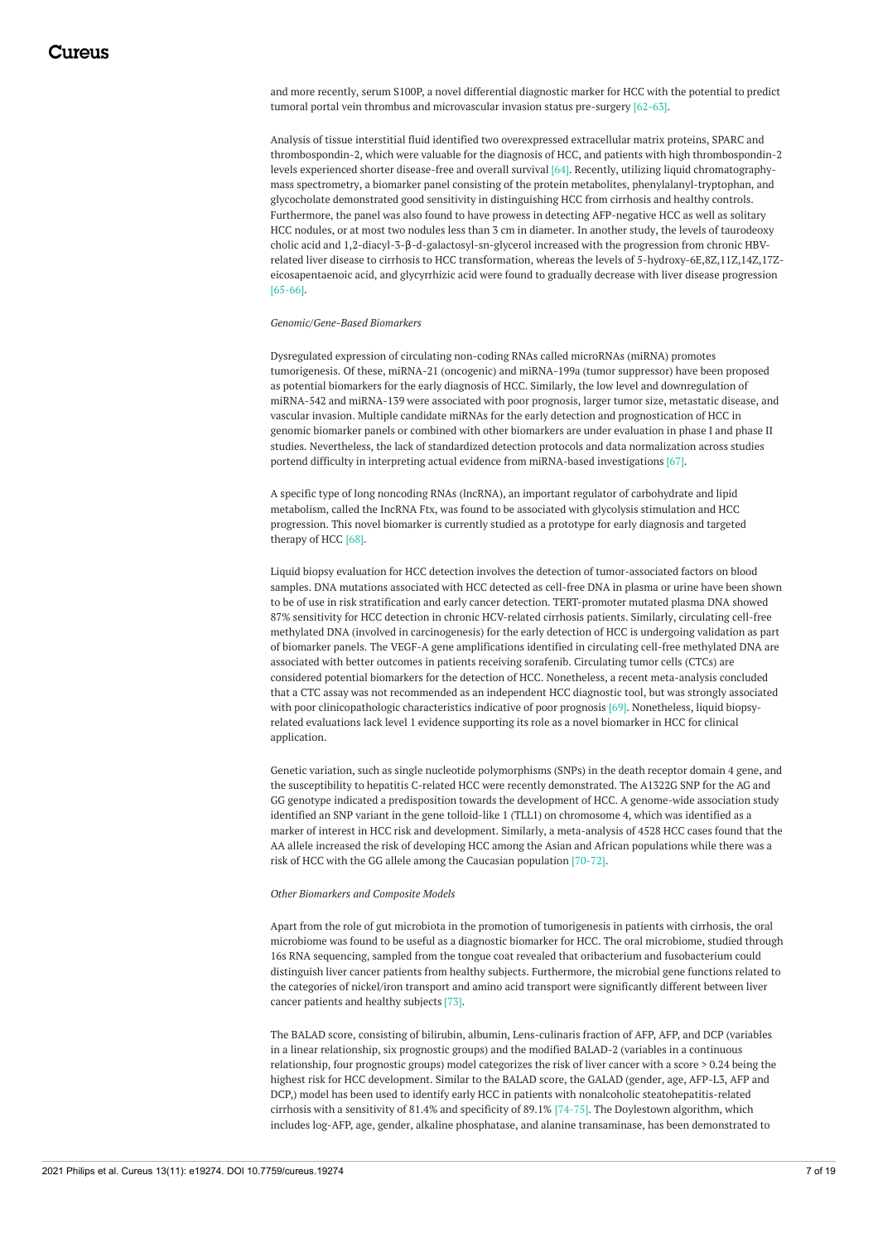and more recently, serum S100P, a novel differential diagnostic marker for HCC with the potential to predict tumoral portal vein thrombus and microvascular invasion status pre-surgery [62-63].

Analysis of tissue interstitial fluid identified two overexpressed extracellular matrix proteins, SPARC and thrombospondin-2, which were valuable for the diagnosis of HCC, and patients with high thrombospondin-2 levels experienced shorter disease-free and overall survival [64]. Recently, utilizing liquid chromatographymass spectrometry, a biomarker panel consisting of the protein metabolites, phenylalanyl-tryptophan, and glycocholate demonstrated good sensitivity in distinguishing HCC from cirrhosis and healthy controls. Furthermore, the panel was also found to have prowess in detecting AFP-negative HCC as well as solitary HCC nodules, or at most two nodules less than 3 cm in diameter. In another study, the levels of taurodeoxy cholic acid and 1,2-diacyl-3-β-d-galactosyl-sn-glycerol increased with the progression from chronic HBVrelated liver disease to cirrhosis to HCC transformation, whereas the levels of 5-hydroxy-6E,8Z,11Z,14Z,17Zeicosapentaenoic acid, and glycyrrhizic acid were found to gradually decrease with liver disease progression [65-66].

#### *Genomic/Gene-Based Biomarkers*

Dysregulated expression of circulating non-coding RNAs called microRNAs (miRNA) promotes tumorigenesis. Of these, miRNA-21 (oncogenic) and miRNA-199a (tumor suppressor) have been proposed as potential biomarkers for the early diagnosis of HCC. Similarly, the low level and downregulation of miRNA-542 and miRNA-139 were associated with poor prognosis, larger tumor size, metastatic disease, and vascular invasion. Multiple candidate miRNAs for the early detection and prognostication of HCC in genomic biomarker panels or combined with other biomarkers are under evaluation in phase I and phase II studies. Nevertheless, the lack of standardized detection protocols and data normalization across studies portend difficulty in interpreting actual evidence from miRNA-based investigations [67].

A specific type of long noncoding RNAs (lncRNA), an important regulator of carbohydrate and lipid metabolism, called the IncRNA Ftx, was found to be associated with glycolysis stimulation and HCC progression. This novel biomarker is currently studied as a prototype for early diagnosis and targeted therapy of HCC [68].

Liquid biopsy evaluation for HCC detection involves the detection of tumor-associated factors on blood samples. DNA mutations associated with HCC detected as cell-free DNA in plasma or urine have been shown to be of use in risk stratification and early cancer detection. TERT-promoter mutated plasma DNA showed 87% sensitivity for HCC detection in chronic HCV-related cirrhosis patients. Similarly, circulating cell-free methylated DNA (involved in carcinogenesis) for the early detection of HCC is undergoing validation as part of biomarker panels. The VEGF-A gene amplifications identified in circulating cell-free methylated DNA are associated with better outcomes in patients receiving sorafenib. Circulating tumor cells (CTCs) are considered potential biomarkers for the detection of HCC. Nonetheless, a recent meta-analysis concluded that a CTC assay was not recommended as an independent HCC diagnostic tool, but was strongly associated with poor clinicopathologic characteristics indicative of poor prognosis [69]. Nonetheless, liquid biopsyrelated evaluations lack level 1 evidence supporting its role as a novel biomarker in HCC for clinical application.

Genetic variation, such as single nucleotide polymorphisms (SNPs) in the death receptor domain 4 gene, and the susceptibility to hepatitis C-related HCC were recently demonstrated. The A1322G SNP for the AG and GG genotype indicated a predisposition towards the development of HCC. A genome-wide association study identified an SNP variant in the gene tolloid-like 1 (TLL1) on chromosome 4, which was identified as a marker of interest in HCC risk and development. Similarly, a meta-analysis of 4528 HCC cases found that the AA allele increased the risk of developing HCC among the Asian and African populations while there was a risk of HCC with the GG allele among the Caucasian population [70-72].

#### *Other Biomarkers and Composite Models*

Apart from the role of gut microbiota in the promotion of tumorigenesis in patients with cirrhosis, the oral microbiome was found to be useful as a diagnostic biomarker for HCC. The oral microbiome, studied through 16s RNA sequencing, sampled from the tongue coat revealed that oribacterium and fusobacterium could distinguish liver cancer patients from healthy subjects. Furthermore, the microbial gene functions related to the categories of nickel/iron transport and amino acid transport were significantly different between liver cancer patients and healthy subjects [73].

The BALAD score, consisting of bilirubin, albumin, Lens-culinaris fraction of AFP, AFP, and DCP (variables in a linear relationship, six prognostic groups) and the modified BALAD-2 (variables in a continuous relationship, four prognostic groups) model categorizes the risk of liver cancer with a score > 0.24 being the highest risk for HCC development. Similar to the BALAD score, the GALAD (gender, age, AFP-L3, AFP and DCP,) model has been used to identify early HCC in patients with nonalcoholic steatohepatitis-related cirrhosis with a sensitivity of 81.4% and specificity of 89.1% [74-75]. The Doylestown algorithm, which includes log-AFP, age, gender, alkaline phosphatase, and alanine transaminase, has been demonstrated to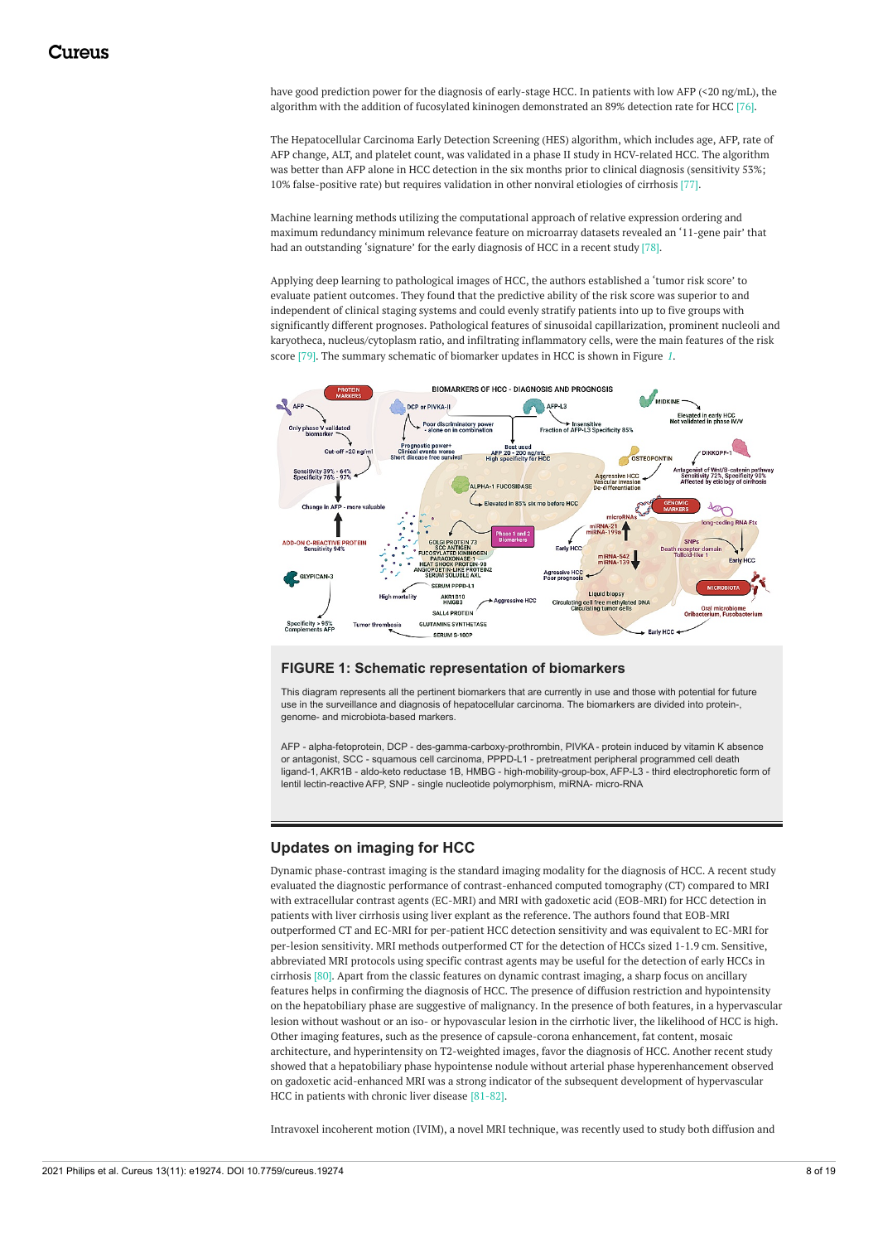have good prediction power for the diagnosis of early-stage HCC. In patients with low AFP (<20 ng/mL), the algorithm with the addition of fucosylated kininogen demonstrated an 89% detection rate for HCC [76].

The Hepatocellular Carcinoma Early Detection Screening (HES) algorithm, which includes age, AFP, rate of AFP change, ALT, and platelet count, was validated in a phase II study in HCV-related HCC. The algorithm was better than AFP alone in HCC detection in the six months prior to clinical diagnosis (sensitivity 53%; 10% false-positive rate) but requires validation in other nonviral etiologies of cirrhosis [77].

Machine learning methods utilizing the computational approach of relative expression ordering and maximum redundancy minimum relevance feature on microarray datasets revealed an '11-gene pair' that had an outstanding 'signature' for the early diagnosis of HCC in a recent study [78].

Applying deep learning to pathological images of HCC, the authors established a 'tumor risk score' to evaluate patient outcomes. They found that the predictive ability of the risk score was superior to and independent of clinical staging systems and could evenly stratify patients into up to five groups with significantly different prognoses. Pathological features of sinusoidal capillarization, prominent nucleoli and karyotheca, nucleus/cytoplasm ratio, and infiltrating inflammatory cells, were the main features of the risk score [79]. The summary schematic of biomarker updates in HCC is shown in Figure *[1](#page-7-0)*.

<span id="page-7-0"></span>

#### **FIGURE 1: Schematic representation of biomarkers**

This diagram represents all the pertinent biomarkers that are currently in use and those with potential for future use in the surveillance and diagnosis of hepatocellular carcinoma. The biomarkers are divided into protein-, genome- and microbiota-based markers.

AFP - alpha-fetoprotein, DCP - des-gamma-carboxy-prothrombin, PIVKA - protein induced by vitamin K absence or antagonist, SCC - squamous cell carcinoma, PPPD-L1 - pretreatment peripheral programmed cell death ligand-1, AKR1B - aldo-keto reductase 1B, HMBG - high-mobility-group-box, AFP-L3 - third electrophoretic form of lentil lectin-reactive AFP, SNP - single nucleotide polymorphism, miRNA- micro-RNA

### **Updates on imaging for HCC**

Dynamic phase-contrast imaging is the standard imaging modality for the diagnosis of HCC. A recent study evaluated the diagnostic performance of contrast-enhanced computed tomography (CT) compared to MRI with extracellular contrast agents (EC-MRI) and MRI with gadoxetic acid (EOB-MRI) for HCC detection in patients with liver cirrhosis using liver explant as the reference. The authors found that EOB-MRI outperformed CT and EC-MRI for per-patient HCC detection sensitivity and was equivalent to EC-MRI for per-lesion sensitivity. MRI methods outperformed CT for the detection of HCCs sized 1-1.9 cm. Sensitive, abbreviated MRI protocols using specific contrast agents may be useful for the detection of early HCCs in cirrhosis [80]. Apart from the classic features on dynamic contrast imaging, a sharp focus on ancillary features helps in confirming the diagnosis of HCC. The presence of diffusion restriction and hypointensity on the hepatobiliary phase are suggestive of malignancy. In the presence of both features, in a hypervascular lesion without washout or an iso- or hypovascular lesion in the cirrhotic liver, the likelihood of HCC is high. Other imaging features, such as the presence of capsule-corona enhancement, fat content, mosaic architecture, and hyperintensity on T2-weighted images, favor the diagnosis of HCC. Another recent study showed that a hepatobiliary phase hypointense nodule without arterial phase hyperenhancement observed on gadoxetic acid-enhanced MRI was a strong indicator of the subsequent development of hypervascular HCC in patients with chronic liver disease [81-82].

Intravoxel incoherent motion (IVIM), a novel MRI technique, was recently used to study both diffusion and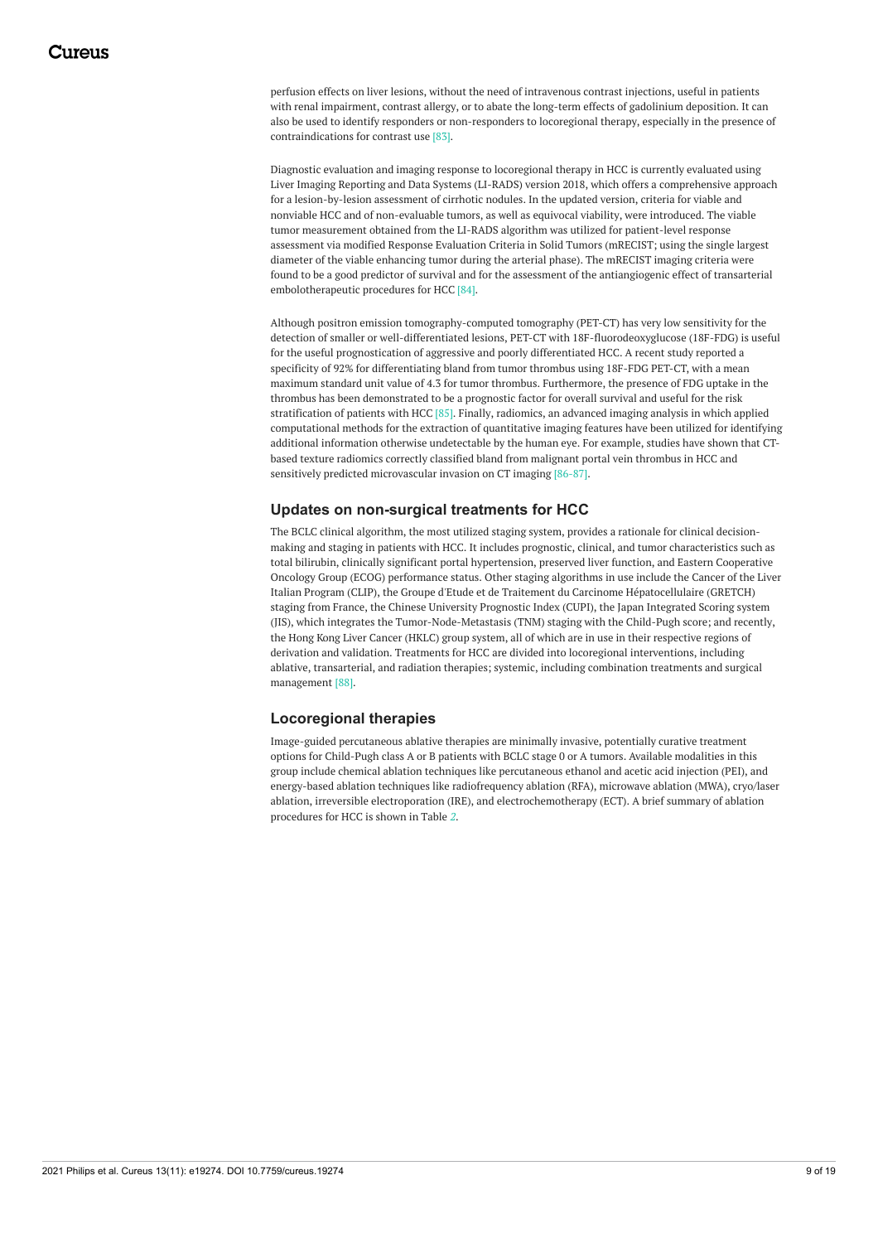perfusion effects on liver lesions, without the need of intravenous contrast injections, useful in patients with renal impairment, contrast allergy, or to abate the long-term effects of gadolinium deposition. It can also be used to identify responders or non-responders to locoregional therapy, especially in the presence of contraindications for contrast use [83].

Diagnostic evaluation and imaging response to locoregional therapy in HCC is currently evaluated using Liver Imaging Reporting and Data Systems (LI-RADS) version 2018, which offers a comprehensive approach for a lesion-by-lesion assessment of cirrhotic nodules. In the updated version, criteria for viable and nonviable HCC and of non-evaluable tumors, as well as equivocal viability, were introduced. The viable tumor measurement obtained from the LI-RADS algorithm was utilized for patient-level response assessment via modified Response Evaluation Criteria in Solid Tumors (mRECIST; using the single largest diameter of the viable enhancing tumor during the arterial phase). The mRECIST imaging criteria were found to be a good predictor of survival and for the assessment of the antiangiogenic effect of transarterial embolotherapeutic procedures for HCC [84].

Although positron emission tomography-computed tomography (PET-CT) has very low sensitivity for the detection of smaller or well-differentiated lesions, PET-CT with 18F-fluorodeoxyglucose (18F-FDG) is useful for the useful prognostication of aggressive and poorly differentiated HCC. A recent study reported a specificity of 92% for differentiating bland from tumor thrombus using 18F-FDG PET-CT, with a mean maximum standard unit value of 4.3 for tumor thrombus. Furthermore, the presence of FDG uptake in the thrombus has been demonstrated to be a prognostic factor for overall survival and useful for the risk stratification of patients with HCC [85]. Finally, radiomics, an advanced imaging analysis in which applied computational methods for the extraction of quantitative imaging features have been utilized for identifying additional information otherwise undetectable by the human eye. For example, studies have shown that CTbased texture radiomics correctly classified bland from malignant portal vein thrombus in HCC and sensitively predicted microvascular invasion on CT imaging [86-87].

### **Updates on non-surgical treatments for HCC**

The BCLC clinical algorithm, the most utilized staging system, provides a rationale for clinical decisionmaking and staging in patients with HCC. It includes prognostic, clinical, and tumor characteristics such as total bilirubin, clinically significant portal hypertension, preserved liver function, and Eastern Cooperative Oncology Group (ECOG) performance status. Other staging algorithms in use include the Cancer of the Liver Italian Program (CLIP), the Groupe d'Etude et de Traitement du Carcinome Hépatocellulaire (GRETCH) staging from France, the Chinese University Prognostic Index (CUPI), the Japan Integrated Scoring system (JIS), which integrates the Tumor-Node-Metastasis (TNM) staging with the Child-Pugh score; and recently, the Hong Kong Liver Cancer (HKLC) group system, all of which are in use in their respective regions of derivation and validation. Treatments for HCC are divided into locoregional interventions, including ablative, transarterial, and radiation therapies; systemic, including combination treatments and surgical management [88].

### **Locoregional therapies**

Image-guided percutaneous ablative therapies are minimally invasive, potentially curative treatment options for Child-Pugh class A or B patients with BCLC stage 0 or A tumors. Available modalities in this group include chemical ablation techniques like percutaneous ethanol and acetic acid injection (PEI), and energy-based ablation techniques like radiofrequency ablation (RFA), microwave ablation (MWA), cryo/laser ablation, irreversible electroporation (IRE), and electrochemotherapy (ECT). A brief summary of ablation procedures for HCC is shown in Table *[2](#page-9-0)*.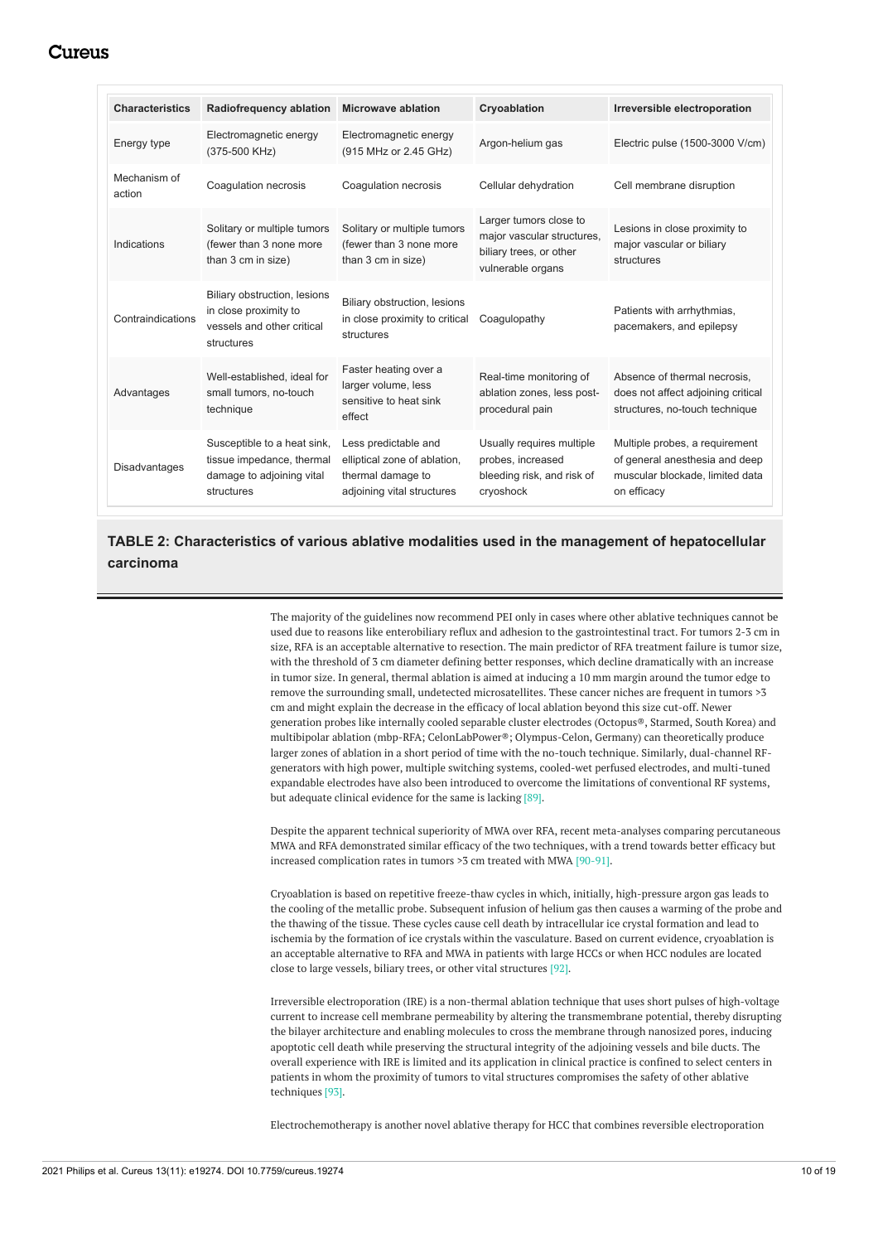## Cureus

<span id="page-9-0"></span>

| <b>Characteristics</b> | Radiofrequency ablation                                                                             | <b>Microwave ablation</b>                                                                               | Cryoablation                                                                                         | Irreversible electroporation                                                                                       |
|------------------------|-----------------------------------------------------------------------------------------------------|---------------------------------------------------------------------------------------------------------|------------------------------------------------------------------------------------------------------|--------------------------------------------------------------------------------------------------------------------|
| Energy type            | Electromagnetic energy<br>(375-500 KHz)                                                             | Electromagnetic energy<br>(915 MHz or 2.45 GHz)                                                         | Argon-helium gas                                                                                     | Electric pulse (1500-3000 V/cm)                                                                                    |
| Mechanism of<br>action | Coagulation necrosis                                                                                | Coagulation necrosis                                                                                    | Cellular dehydration                                                                                 | Cell membrane disruption                                                                                           |
| Indications            | Solitary or multiple tumors<br>(fewer than 3 none more<br>than 3 cm in size)                        | Solitary or multiple tumors<br>(fewer than 3 none more<br>than 3 cm in size)                            | Larger tumors close to<br>major vascular structures,<br>biliary trees, or other<br>vulnerable organs | Lesions in close proximity to<br>major vascular or biliary<br>structures                                           |
| Contraindications      | Biliary obstruction, lesions<br>in close proximity to<br>vessels and other critical<br>structures   | Biliary obstruction, lesions<br>in close proximity to critical<br>structures                            | Coaqulopathy                                                                                         | Patients with arrhythmias,<br>pacemakers, and epilepsy                                                             |
| Advantages             | Well-established, ideal for<br>small tumors, no-touch<br>technique                                  | Faster heating over a<br>larger volume, less<br>sensitive to heat sink<br>effect                        | Real-time monitoring of<br>ablation zones, less post-<br>procedural pain                             | Absence of thermal necrosis,<br>does not affect adjoining critical<br>structures, no-touch technique               |
| <b>Disadvantages</b>   | Susceptible to a heat sink,<br>tissue impedance, thermal<br>damage to adjoining vital<br>structures | Less predictable and<br>elliptical zone of ablation,<br>thermal damage to<br>adjoining vital structures | Usually requires multiple<br>probes, increased<br>bleeding risk, and risk of<br>cryoshock            | Multiple probes, a requirement<br>of general anesthesia and deep<br>muscular blockade, limited data<br>on efficacy |

## **TABLE 2: Characteristics of various ablative modalities used in the management of hepatocellular carcinoma**

The majority of the guidelines now recommend PEI only in cases where other ablative techniques cannot be used due to reasons like enterobiliary reflux and adhesion to the gastrointestinal tract. For tumors 2-3 cm in size, RFA is an acceptable alternative to resection. The main predictor of RFA treatment failure is tumor size, with the threshold of 3 cm diameter defining better responses, which decline dramatically with an increase in tumor size. In general, thermal ablation is aimed at inducing a 10 mm margin around the tumor edge to remove the surrounding small, undetected microsatellites. These cancer niches are frequent in tumors >3 cm and might explain the decrease in the efficacy of local ablation beyond this size cut-off. Newer generation probes like internally cooled separable cluster electrodes (Octopus®, Starmed, South Korea) and multibipolar ablation (mbp-RFA; CelonLabPower®; Olympus-Celon, Germany) can theoretically produce larger zones of ablation in a short period of time with the no-touch technique. Similarly, dual-channel RFgenerators with high power, multiple switching systems, cooled-wet perfused electrodes, and multi-tuned expandable electrodes have also been introduced to overcome the limitations of conventional RF systems, but adequate clinical evidence for the same is lacking [89].

Despite the apparent technical superiority of MWA over RFA, recent meta-analyses comparing percutaneous MWA and RFA demonstrated similar efficacy of the two techniques, with a trend towards better efficacy but increased complication rates in tumors >3 cm treated with MWA [90-91].

Cryoablation is based on repetitive freeze-thaw cycles in which, initially, high-pressure argon gas leads to the cooling of the metallic probe. Subsequent infusion of helium gas then causes a warming of the probe and the thawing of the tissue. These cycles cause cell death by intracellular ice crystal formation and lead to ischemia by the formation of ice crystals within the vasculature. Based on current evidence, cryoablation is an acceptable alternative to RFA and MWA in patients with large HCCs or when HCC nodules are located close to large vessels, biliary trees, or other vital structures [92].

Irreversible electroporation (IRE) is a non-thermal ablation technique that uses short pulses of high-voltage current to increase cell membrane permeability by altering the transmembrane potential, thereby disrupting the bilayer architecture and enabling molecules to cross the membrane through nanosized pores, inducing apoptotic cell death while preserving the structural integrity of the adjoining vessels and bile ducts. The overall experience with IRE is limited and its application in clinical practice is confined to select centers in patients in whom the proximity of tumors to vital structures compromises the safety of other ablative techniques [93].

Electrochemotherapy is another novel ablative therapy for HCC that combines reversible electroporation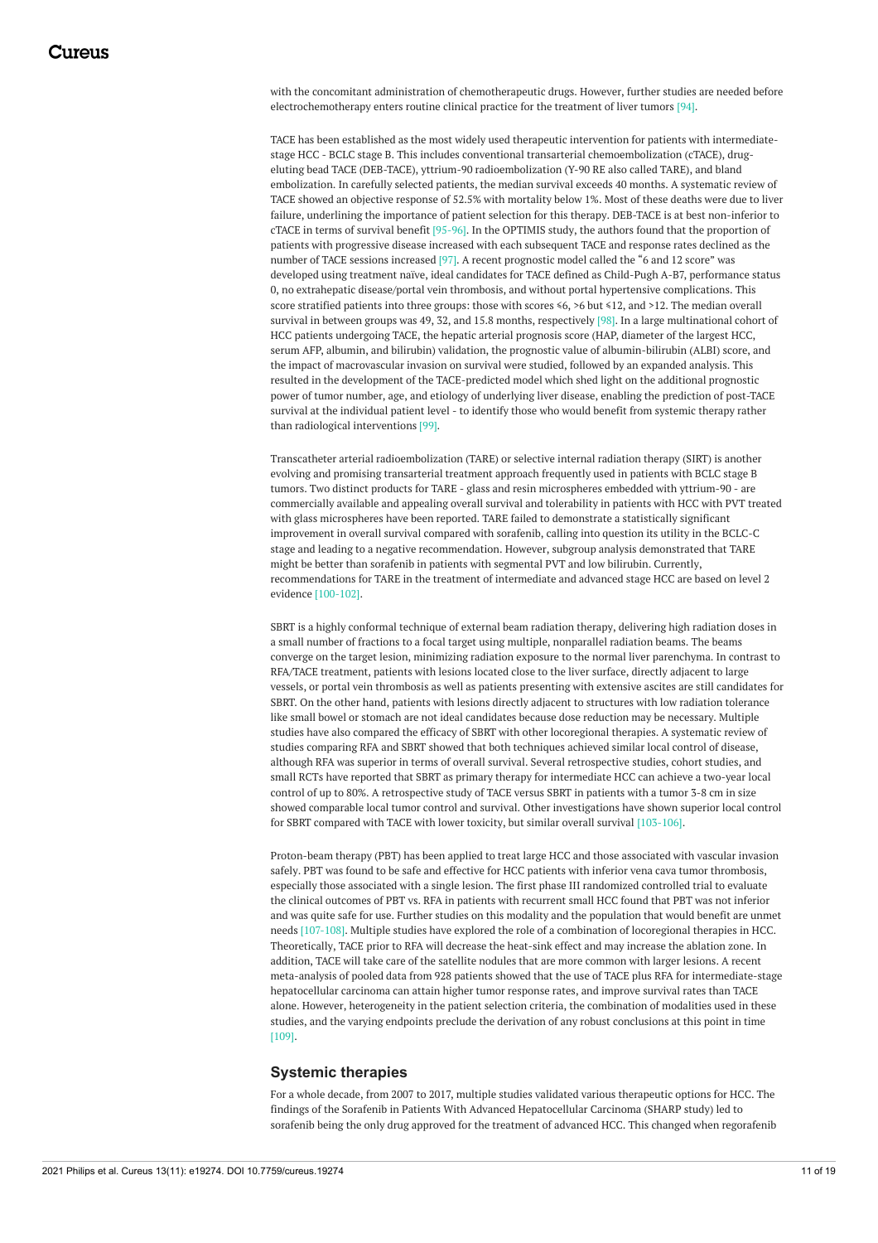with the concomitant administration of chemotherapeutic drugs. However, further studies are needed before electrochemotherapy enters routine clinical practice for the treatment of liver tumors [94].

TACE has been established as the most widely used therapeutic intervention for patients with intermediatestage HCC - BCLC stage B. This includes conventional transarterial chemoembolization (cTACE), drugeluting bead TACE (DEB-TACE), yttrium-90 radioembolization (Y-90 RE also called TARE), and bland embolization. In carefully selected patients, the median survival exceeds 40 months. A systematic review of TACE showed an objective response of 52.5% with mortality below 1%. Most of these deaths were due to liver failure, underlining the importance of patient selection for this therapy. DEB-TACE is at best non-inferior to cTACE in terms of survival benefit [95-96]. In the OPTIMIS study, the authors found that the proportion of patients with progressive disease increased with each subsequent TACE and response rates declined as the number of TACE sessions increased [97]. A recent prognostic model called the "6 and 12 score" was developed using treatment naïve, ideal candidates for TACE defined as Child-Pugh A-B7, performance status 0, no extrahepatic disease/portal vein thrombosis, and without portal hypertensive complications. This score stratified patients into three groups: those with scores  $\leq 6$ ,  $> 6$  but  $\leq 12$ , and  $> 12$ . The median overall survival in between groups was 49, 32, and 15.8 months, respectively [98]. In a large multinational cohort of HCC patients undergoing TACE, the hepatic arterial prognosis score (HAP, diameter of the largest HCC, serum AFP, albumin, and bilirubin) validation, the prognostic value of albumin-bilirubin (ALBI) score, and the impact of macrovascular invasion on survival were studied, followed by an expanded analysis. This resulted in the development of the TACE-predicted model which shed light on the additional prognostic power of tumor number, age, and etiology of underlying liver disease, enabling the prediction of post-TACE survival at the individual patient level - to identify those who would benefit from systemic therapy rather than radiological interventions [99].

Transcatheter arterial radioembolization (TARE) or selective internal radiation therapy (SIRT) is another evolving and promising transarterial treatment approach frequently used in patients with BCLC stage B tumors. Two distinct products for TARE - glass and resin microspheres embedded with yttrium-90 - are commercially available and appealing overall survival and tolerability in patients with HCC with PVT treated with glass microspheres have been reported. TARE failed to demonstrate a statistically significant improvement in overall survival compared with sorafenib, calling into question its utility in the BCLC-C stage and leading to a negative recommendation. However, subgroup analysis demonstrated that TARE might be better than sorafenib in patients with segmental PVT and low bilirubin. Currently, recommendations for TARE in the treatment of intermediate and advanced stage HCC are based on level 2 evidence [100-102].

SBRT is a highly conformal technique of external beam radiation therapy, delivering high radiation doses in a small number of fractions to a focal target using multiple, nonparallel radiation beams. The beams converge on the target lesion, minimizing radiation exposure to the normal liver parenchyma. In contrast to RFA/TACE treatment, patients with lesions located close to the liver surface, directly adjacent to large vessels, or portal vein thrombosis as well as patients presenting with extensive ascites are still candidates for SBRT. On the other hand, patients with lesions directly adjacent to structures with low radiation tolerance like small bowel or stomach are not ideal candidates because dose reduction may be necessary. Multiple studies have also compared the efficacy of SBRT with other locoregional therapies. A systematic review of studies comparing RFA and SBRT showed that both techniques achieved similar local control of disease, although RFA was superior in terms of overall survival. Several retrospective studies, cohort studies, and small RCTs have reported that SBRT as primary therapy for intermediate HCC can achieve a two-year local control of up to 80%. A retrospective study of TACE versus SBRT in patients with a tumor 3-8 cm in size showed comparable local tumor control and survival. Other investigations have shown superior local control for SBRT compared with TACE with lower toxicity, but similar overall survival [103-106].

Proton-beam therapy (PBT) has been applied to treat large HCC and those associated with vascular invasion safely. PBT was found to be safe and effective for HCC patients with inferior vena cava tumor thrombosis, especially those associated with a single lesion. The first phase III randomized controlled trial to evaluate the clinical outcomes of PBT vs. RFA in patients with recurrent small HCC found that PBT was not inferior and was quite safe for use. Further studies on this modality and the population that would benefit are unmet needs [107-108]. Multiple studies have explored the role of a combination of locoregional therapies in HCC. Theoretically, TACE prior to RFA will decrease the heat-sink effect and may increase the ablation zone. In addition, TACE will take care of the satellite nodules that are more common with larger lesions. A recent meta-analysis of pooled data from 928 patients showed that the use of TACE plus RFA for intermediate-stage hepatocellular carcinoma can attain higher tumor response rates, and improve survival rates than TACE alone. However, heterogeneity in the patient selection criteria, the combination of modalities used in these studies, and the varying endpoints preclude the derivation of any robust conclusions at this point in time [109].

#### **Systemic therapies**

For a whole decade, from 2007 to 2017, multiple studies validated various therapeutic options for HCC. The findings of the Sorafenib in Patients With Advanced Hepatocellular Carcinoma (SHARP study) led to sorafenib being the only drug approved for the treatment of advanced HCC. This changed when regorafenib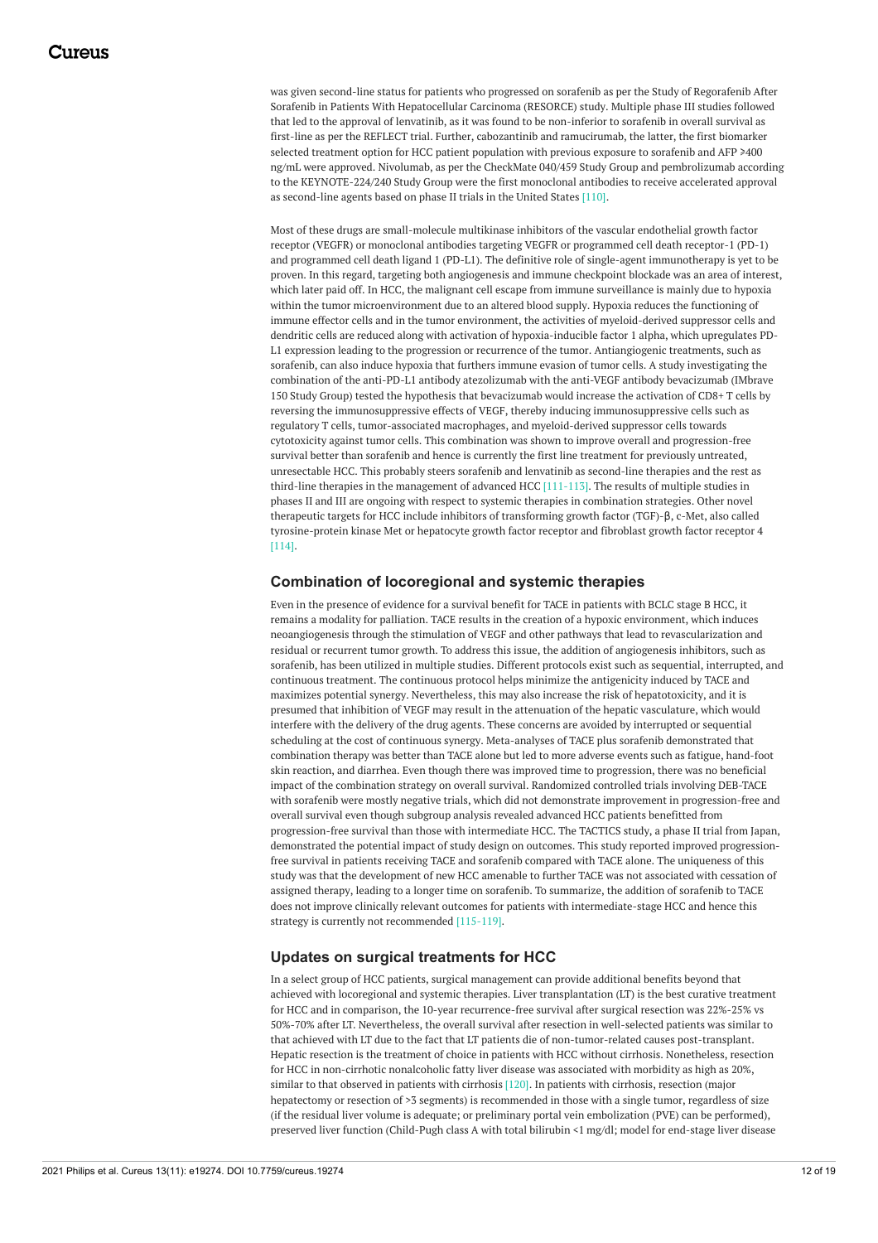was given second-line status for patients who progressed on sorafenib as per the Study of Regorafenib After Sorafenib in Patients With Hepatocellular Carcinoma (RESORCE) study. Multiple phase III studies followed that led to the approval of lenvatinib, as it was found to be non-inferior to sorafenib in overall survival as first-line as per the REFLECT trial. Further, cabozantinib and ramucirumab, the latter, the first biomarker selected treatment option for HCC patient population with previous exposure to sorafenib and AFP ≥400 ng/mL were approved. Nivolumab, as per the CheckMate 040/459 Study Group and pembrolizumab according to the KEYNOTE-224/240 Study Group were the first monoclonal antibodies to receive accelerated approval as second-line agents based on phase II trials in the United States [110].

Most of these drugs are small-molecule multikinase inhibitors of the vascular endothelial growth factor receptor (VEGFR) or monoclonal antibodies targeting VEGFR or programmed cell death receptor-1 (PD-1) and programmed cell death ligand 1 (PD-L1). The definitive role of single-agent immunotherapy is yet to be proven. In this regard, targeting both angiogenesis and immune checkpoint blockade was an area of interest, which later paid off. In HCC, the malignant cell escape from immune surveillance is mainly due to hypoxia within the tumor microenvironment due to an altered blood supply. Hypoxia reduces the functioning of immune effector cells and in the tumor environment, the activities of myeloid-derived suppressor cells and dendritic cells are reduced along with activation of hypoxia-inducible factor 1 alpha, which upregulates PD-L1 expression leading to the progression or recurrence of the tumor. Antiangiogenic treatments, such as sorafenib, can also induce hypoxia that furthers immune evasion of tumor cells. A study investigating the combination of the anti-PD-L1 antibody atezolizumab with the anti-VEGF antibody bevacizumab (IMbrave 150 Study Group) tested the hypothesis that bevacizumab would increase the activation of CD8+ T cells by reversing the immunosuppressive effects of VEGF, thereby inducing immunosuppressive cells such as regulatory T cells, tumor-associated macrophages, and myeloid-derived suppressor cells towards cytotoxicity against tumor cells. This combination was shown to improve overall and progression-free survival better than sorafenib and hence is currently the first line treatment for previously untreated, unresectable HCC. This probably steers sorafenib and lenvatinib as second-line therapies and the rest as third-line therapies in the management of advanced HCC  $[111-113]$ . The results of multiple studies in phases II and III are ongoing with respect to systemic therapies in combination strategies. Other novel therapeutic targets for HCC include inhibitors of transforming growth factor (TGF)-β, c-Met, also called tyrosine-protein kinase Met or hepatocyte growth factor receptor and fibroblast growth factor receptor 4 [114].

### **Combination of locoregional and systemic therapies**

Even in the presence of evidence for a survival benefit for TACE in patients with BCLC stage B HCC, it remains a modality for palliation. TACE results in the creation of a hypoxic environment, which induces neoangiogenesis through the stimulation of VEGF and other pathways that lead to revascularization and residual or recurrent tumor growth. To address this issue, the addition of angiogenesis inhibitors, such as sorafenib, has been utilized in multiple studies. Different protocols exist such as sequential, interrupted, and continuous treatment. The continuous protocol helps minimize the antigenicity induced by TACE and maximizes potential synergy. Nevertheless, this may also increase the risk of hepatotoxicity, and it is presumed that inhibition of VEGF may result in the attenuation of the hepatic vasculature, which would interfere with the delivery of the drug agents. These concerns are avoided by interrupted or sequential scheduling at the cost of continuous synergy. Meta-analyses of TACE plus sorafenib demonstrated that combination therapy was better than TACE alone but led to more adverse events such as fatigue, hand-foot skin reaction, and diarrhea. Even though there was improved time to progression, there was no beneficial impact of the combination strategy on overall survival. Randomized controlled trials involving DEB-TACE with sorafenib were mostly negative trials, which did not demonstrate improvement in progression-free and overall survival even though subgroup analysis revealed advanced HCC patients benefitted from progression-free survival than those with intermediate HCC. The TACTICS study, a phase II trial from Japan, demonstrated the potential impact of study design on outcomes. This study reported improved progressionfree survival in patients receiving TACE and sorafenib compared with TACE alone. The uniqueness of this study was that the development of new HCC amenable to further TACE was not associated with cessation of assigned therapy, leading to a longer time on sorafenib. To summarize, the addition of sorafenib to TACE does not improve clinically relevant outcomes for patients with intermediate-stage HCC and hence this strategy is currently not recommended [115-119].

## **Updates on surgical treatments for HCC**

In a select group of HCC patients, surgical management can provide additional benefits beyond that achieved with locoregional and systemic therapies. Liver transplantation (LT) is the best curative treatment for HCC and in comparison, the 10-year recurrence-free survival after surgical resection was 22%-25% vs 50%-70% after LT. Nevertheless, the overall survival after resection in well-selected patients was similar to that achieved with LT due to the fact that LT patients die of non-tumor-related causes post-transplant. Hepatic resection is the treatment of choice in patients with HCC without cirrhosis. Nonetheless, resection for HCC in non-cirrhotic nonalcoholic fatty liver disease was associated with morbidity as high as 20%, similar to that observed in patients with cirrhosis [120]. In patients with cirrhosis, resection (major hepatectomy or resection of >3 segments) is recommended in those with a single tumor, regardless of size (if the residual liver volume is adequate; or preliminary portal vein embolization (PVE) can be performed), preserved liver function (Child-Pugh class A with total bilirubin <1 mg/dl; model for end-stage liver disease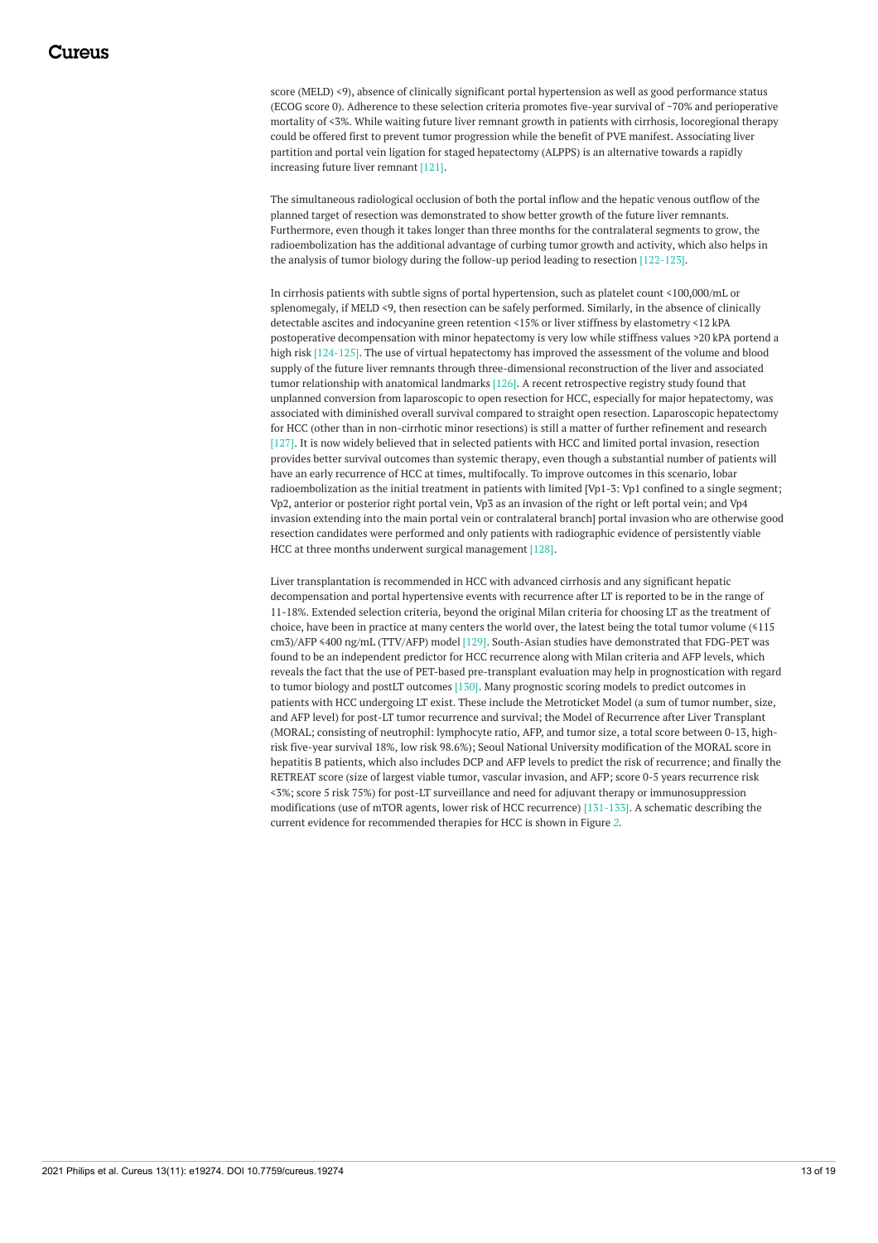score (MELD) <9), absence of clinically significant portal hypertension as well as good performance status (ECOG score 0). Adherence to these selection criteria promotes five-year survival of ~70% and perioperative mortality of <3%. While waiting future liver remnant growth in patients with cirrhosis, locoregional therapy could be offered first to prevent tumor progression while the benefit of PVE manifest. Associating liver partition and portal vein ligation for staged hepatectomy (ALPPS) is an alternative towards a rapidly increasing future liver remnant [121].

The simultaneous radiological occlusion of both the portal inflow and the hepatic venous outflow of the planned target of resection was demonstrated to show better growth of the future liver remnants. Furthermore, even though it takes longer than three months for the contralateral segments to grow, the radioembolization has the additional advantage of curbing tumor growth and activity, which also helps in the analysis of tumor biology during the follow-up period leading to resection [122-123].

In cirrhosis patients with subtle signs of portal hypertension, such as platelet count <100,000/mL or splenomegaly, if MELD <9, then resection can be safely performed. Similarly, in the absence of clinically detectable ascites and indocyanine green retention <15% or liver stiffness by elastometry <12 kPA postoperative decompensation with minor hepatectomy is very low while stiffness values >20 kPA portend a high risk [124-125]. The use of virtual hepatectomy has improved the assessment of the volume and blood supply of the future liver remnants through three-dimensional reconstruction of the liver and associated tumor relationship with anatomical landmarks [126]. A recent retrospective registry study found that unplanned conversion from laparoscopic to open resection for HCC, especially for major hepatectomy, was associated with diminished overall survival compared to straight open resection. Laparoscopic hepatectomy for HCC (other than in non-cirrhotic minor resections) is still a matter of further refinement and research [127]. It is now widely believed that in selected patients with HCC and limited portal invasion, resection provides better survival outcomes than systemic therapy, even though a substantial number of patients will have an early recurrence of HCC at times, multifocally. To improve outcomes in this scenario, lobar radioembolization as the initial treatment in patients with limited [Vp1-3: Vp1 confined to a single segment; Vp2, anterior or posterior right portal vein, Vp3 as an invasion of the right or left portal vein; and Vp4 invasion extending into the main portal vein or contralateral branch] portal invasion who are otherwise good resection candidates were performed and only patients with radiographic evidence of persistently viable HCC at three months underwent surgical management [128].

Liver transplantation is recommended in HCC with advanced cirrhosis and any significant hepatic decompensation and portal hypertensive events with recurrence after LT is reported to be in the range of 11-18%. Extended selection criteria, beyond the original Milan criteria for choosing LT as the treatment of choice, have been in practice at many centers the world over, the latest being the total tumor volume (≤115 cm3)/AFP ≤400 ng/mL (TTV/AFP) model [129]. South-Asian studies have demonstrated that FDG-PET was found to be an independent predictor for HCC recurrence along with Milan criteria and AFP levels, which reveals the fact that the use of PET-based pre-transplant evaluation may help in prognostication with regard to tumor biology and postLT outcomes [130]. Many prognostic scoring models to predict outcomes in patients with HCC undergoing LT exist. These include the Metroticket Model (a sum of tumor number, size, and AFP level) for post-LT tumor recurrence and survival; the Model of Recurrence after Liver Transplant (MORAL; consisting of neutrophil: lymphocyte ratio, AFP, and tumor size, a total score between 0-13, highrisk five-year survival 18%, low risk 98.6%); Seoul National University modification of the MORAL score in hepatitis B patients, which also includes DCP and AFP levels to predict the risk of recurrence; and finally the RETREAT score (size of largest viable tumor, vascular invasion, and AFP; score 0-5 years recurrence risk <3%; score 5 risk 75%) for post-LT surveillance and need for adjuvant therapy or immunosuppression modifications (use of mTOR agents, lower risk of HCC recurrence) [131-133]. A schematic describing the current evidence for recommended therapies for HCC is shown in Figure *[2](#page-13-0)*.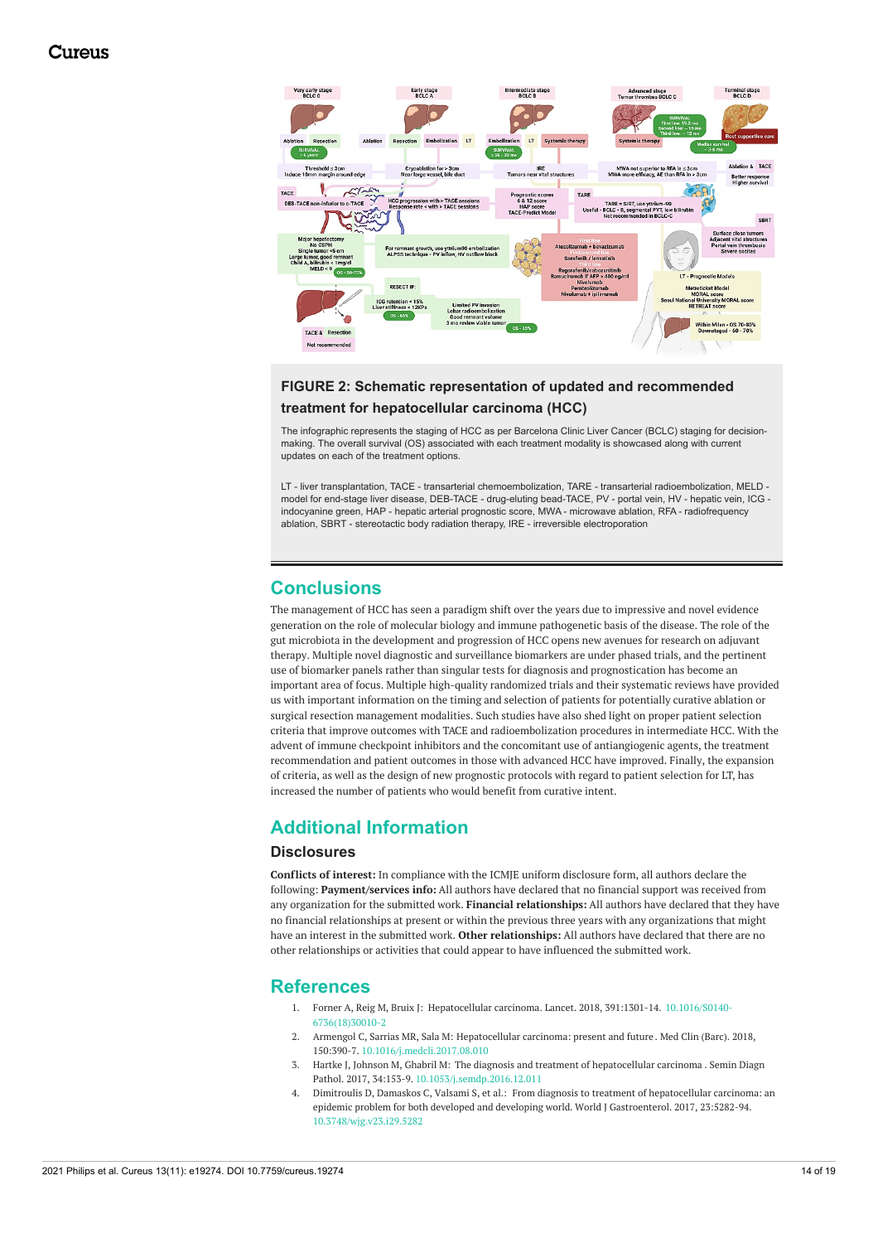<span id="page-13-0"></span>

## **FIGURE 2: Schematic representation of updated and recommended treatment for hepatocellular carcinoma (HCC)**

The infographic represents the staging of HCC as per Barcelona Clinic Liver Cancer (BCLC) staging for decisionmaking. The overall survival (OS) associated with each treatment modality is showcased along with current updates on each of the treatment options.

LT - liver transplantation, TACE - transarterial chemoembolization, TARE - transarterial radioembolization, MELD model for end-stage liver disease, DEB-TACE - drug-eluting bead-TACE, PV - portal vein, HV - hepatic vein, ICG indocyanine green, HAP - hepatic arterial prognostic score, MWA - microwave ablation, RFA - radiofrequency ablation, SBRT - stereotactic body radiation therapy, IRE - irreversible electroporation

## **Conclusions**

The management of HCC has seen a paradigm shift over the years due to impressive and novel evidence generation on the role of molecular biology and immune pathogenetic basis of the disease. The role of the gut microbiota in the development and progression of HCC opens new avenues for research on adjuvant therapy. Multiple novel diagnostic and surveillance biomarkers are under phased trials, and the pertinent use of biomarker panels rather than singular tests for diagnosis and prognostication has become an important area of focus. Multiple high-quality randomized trials and their systematic reviews have provided us with important information on the timing and selection of patients for potentially curative ablation or surgical resection management modalities. Such studies have also shed light on proper patient selection criteria that improve outcomes with TACE and radioembolization procedures in intermediate HCC. With the advent of immune checkpoint inhibitors and the concomitant use of antiangiogenic agents, the treatment recommendation and patient outcomes in those with advanced HCC have improved. Finally, the expansion of criteria, as well as the design of new prognostic protocols with regard to patient selection for LT, has increased the number of patients who would benefit from curative intent.

# **Additional Information**

### **Disclosures**

**Conflicts of interest:** In compliance with the ICMJE uniform disclosure form, all authors declare the following: **Payment/services info:** All authors have declared that no financial support was received from any organization for the submitted work. **Financial relationships:** All authors have declared that they have no financial relationships at present or within the previous three years with any organizations that might have an interest in the submitted work. **Other relationships:** All authors have declared that there are no other relationships or activities that could appear to have influenced the submitted work.

## **References**

- 1. Forner A, Reig M, Bruix J: [Hepatocellular](https://dx.doi.org/10.1016/S0140-6736(18)30010-2) carcinoma. Lancet. 2018, 391:1301-14. 10.1016/S0140- [6736\(18\)30010-2](https://dx.doi.org/10.1016/S0140-6736(18)30010-2)
- 2. Armengol C, Sarrias MR, Sala M: [Hepatocellular](https://dx.doi.org/10.1016/j.medcli.2017.08.010) carcinoma: present and future . Med Clin (Barc). 2018, 150:390-7. [10.1016/j.medcli.2017.08.010](https://dx.doi.org/10.1016/j.medcli.2017.08.010)
- 3. Hartke J, Johnson M, Ghabril M: The diagnosis and treatment of [hepatocellular](https://dx.doi.org/10.1053/j.semdp.2016.12.011) carcinoma . Semin Diagn Pathol. 2017, 34:153-9. [10.1053/j.semdp.2016.12.011](https://dx.doi.org/10.1053/j.semdp.2016.12.011)
- 4. Dimitroulis D, Damaskos C, Valsami S, et al.: From diagnosis to treatment of hepatocellular carcinoma: an epidemic problem for both developed and developing world. World J [Gastroenterol.](https://dx.doi.org/10.3748/wjg.v23.i29.5282) 2017, 23:5282-94. [10.3748/wjg.v23.i29.5282](https://dx.doi.org/10.3748/wjg.v23.i29.5282)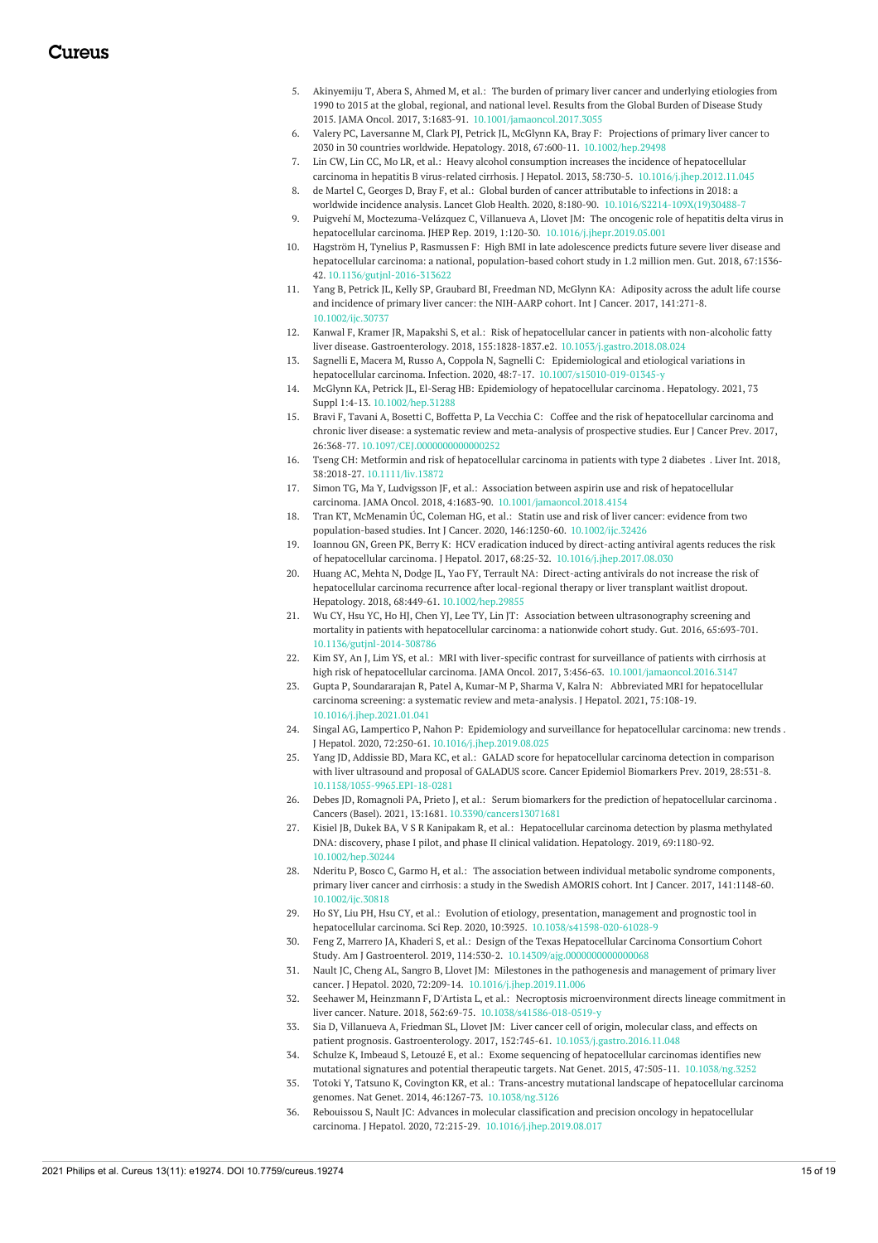- 5. Akinyemiju T, Abera S, Ahmed M, et al.: The burden of primary liver cancer and underlying etiologies from 1990 to 2015 at the global, regional, and national level. Results from the Global Burden of Disease Study 2015. JAMA Oncol. 2017, 3:1683-91. [10.1001/jamaoncol.2017.3055](https://dx.doi.org/10.1001/jamaoncol.2017.3055)
- 6. Valery PC, Laversanne M, Clark PJ, Petrick JL, McGlynn KA, Bray F: Projections of primary liver cancer to 2030 in 30 countries worldwide. Hepatology. 2018, 67:600-11. [10.1002/hep.29498](https://dx.doi.org/10.1002/hep.29498)
- 7. Lin CW, Lin CC, Mo LR, et al.: Heavy alcohol consumption increases the incidence of hepatocellular carcinoma in hepatitis B virus-related cirrhosis. J Hepatol. 2013, 58:730-5. [10.1016/j.jhep.2012.11.045](https://dx.doi.org/10.1016/j.jhep.2012.11.045)
- 8. de Martel C, Georges D, Bray F, et al.: Global burden of cancer attributable to infections in 2018: a worldwide incidence analysis. Lancet Glob Health. 2020, 8:180-90. [10.1016/S2214-109X\(19\)30488-7](https://dx.doi.org/10.1016/S2214-109X(19)30488-7)
- 9. Puigvehí M, Moctezuma-Velázquez C, Villanueva A, Llovet JM: The oncogenic role of hepatitis delta virus in hepatocellular carcinoma. JHEP Rep. 2019, 1:120-30. [10.1016/j.jhepr.2019.05.001](https://dx.doi.org/10.1016/j.jhepr.2019.05.001)
- 10. Hagström H, Tynelius P, Rasmussen F: High BMI in late adolescence predicts future severe liver disease and hepatocellular carcinoma: a national, [population-based](https://dx.doi.org/10.1136/gutjnl-2016-313622) cohort study in 1.2 million men. Gut. 2018, 67:1536- 42. [10.1136/gutjnl-2016-313622](https://dx.doi.org/10.1136/gutjnl-2016-313622)
- 11. Yang B, Petrick JL, Kelly SP, Graubard BI, Freedman ND, McGlynn KA: Adiposity across the adult life course and incidence of primary liver cancer: the [NIH-AARP](https://dx.doi.org/10.1002/ijc.30737) cohort. Int J Cancer. 2017, 141:271-8. [10.1002/ijc.30737](https://dx.doi.org/10.1002/ijc.30737)
- 12. Kanwal F, Kramer JR, Mapakshi S, et al.: Risk of hepatocellular cancer in patients with non-alcoholic fatty liver disease. Gastroenterology. 2018, 155:1828-1837.e2. [10.1053/j.gastro.2018.08.024](https://dx.doi.org/10.1053/j.gastro.2018.08.024)
- 13. Sagnelli E, Macera M, Russo A, Coppola N, Sagnelli C: Epidemiological and etiological variations in hepatocellular carcinoma. Infection. 2020, 48:7-17. [10.1007/s15010-019-01345-y](https://dx.doi.org/10.1007/s15010-019-01345-y)
- 14. McGlynn KA, Petrick JL, El-Serag HB: Epidemiology of [hepatocellular](https://dx.doi.org/10.1002/hep.31288) carcinoma . Hepatology. 2021, 73 Suppl 1:4-13. [10.1002/hep.31288](https://dx.doi.org/10.1002/hep.31288)
- 15. Bravi F, Tavani A, Bosetti C, Boffetta P, La Vecchia C: Coffee and the risk of [hepatocellular](https://dx.doi.org/10.1097/CEJ.0000000000000252) carcinoma and chronic liver disease: a systematic review and meta-analysis of prospective studies. Eur J Cancer Prev. 2017, 26:368-77. [10.1097/CEJ.0000000000000252](https://dx.doi.org/10.1097/CEJ.0000000000000252)
- 16. Tseng CH: Metformin and risk of [hepatocellular](https://dx.doi.org/10.1111/liv.13872) carcinoma in patients with type 2 diabetes . Liver Int. 2018, 38:2018-27. [10.1111/liv.13872](https://dx.doi.org/10.1111/liv.13872)
- 17. Simon TG, Ma Y, Ludvigsson JF, et al.: Association between aspirin use and risk of hepatocellular carcinoma. JAMA Oncol. 2018, 4:1683-90. [10.1001/jamaoncol.2018.4154](https://dx.doi.org/10.1001/jamaoncol.2018.4154)
- 18. Tran KT, McMenamin ÚC, Coleman HG, et al.: Statin use and risk of liver cancer: evidence from two [population-based](https://dx.doi.org/10.1002/ijc.32426) studies. Int J Cancer. 2020, 146:1250-60. [10.1002/ijc.32426](https://dx.doi.org/10.1002/ijc.32426)
- 19. Ioannou GN, Green PK, Berry K: HCV eradication induced by direct-acting antiviral agents reduces the risk of hepatocellular carcinoma. J Hepatol. 2017, 68:25-32. [10.1016/j.jhep.2017.08.030](https://dx.doi.org/10.1016/j.jhep.2017.08.030)
- 20. Huang AC, Mehta N, Dodge JL, Yao FY, Terrault NA: Direct-acting antivirals do not increase the risk of [hepatocellular](https://dx.doi.org/10.1002/hep.29855) carcinoma recurrence after local-regional therapy or liver transplant waitlist dropout. Hepatology. 2018, 68:449-61. [10.1002/hep.29855](https://dx.doi.org/10.1002/hep.29855)
- 21. Wu CY, Hsu YC, Ho HJ, Chen YJ, Lee TY, Lin JT: Association between [ultrasonography](https://dx.doi.org/10.1136/gutjnl-2014-308786) screening and mortality in patients with hepatocellular carcinoma: a nationwide cohort study. Gut. 2016, 65:693-701. [10.1136/gutjnl-2014-308786](https://dx.doi.org/10.1136/gutjnl-2014-308786)
- 22. Kim SY, An J, Lim YS, et al.: MRI with liver-specific contrast for surveillance of patients with cirrhosis at high risk of hepatocellular carcinoma. JAMA Oncol. 2017, 3:456-63. [10.1001/jamaoncol.2016.3147](https://dx.doi.org/10.1001/jamaoncol.2016.3147)
- 23. Gupta P, [Soundararajan](https://dx.doi.org/10.1016/j.jhep.2021.01.041) R, Patel A, Kumar-M P, Sharma V, Kalra N: Abbreviated MRI for hepatocellular carcinoma screening: a systematic review and meta-analysis. J Hepatol. 2021, 75:108-19. [10.1016/j.jhep.2021.01.041](https://dx.doi.org/10.1016/j.jhep.2021.01.041)
- 24. Singal AG, Lampertico P, Nahon P: Epidemiology and surveillance for [hepatocellular](https://dx.doi.org/10.1016/j.jhep.2019.08.025) carcinoma: new trends . J Hepatol. 2020, 72:250-61. [10.1016/j.jhep.2019.08.025](https://dx.doi.org/10.1016/j.jhep.2019.08.025)
- 25. Yang JD, Addissie BD, Mara KC, et al.: GALAD score for [hepatocellular](https://dx.doi.org/10.1158/1055-9965.EPI-18-0281) carcinoma detection in comparison with liver ultrasound and proposal of GALADUS score. Cancer Epidemiol Biomarkers Prev. 2019, 28:531-8. [10.1158/1055-9965.EPI-18-0281](https://dx.doi.org/10.1158/1055-9965.EPI-18-0281)
- 26. Debes JD, Romagnoli PA, Prieto J, et al.: Serum biomarkers for the prediction of [hepatocellular](https://dx.doi.org/10.3390/cancers13071681) carcinoma . Cancers (Basel). 2021, 13:1681. [10.3390/cancers13071681](https://dx.doi.org/10.3390/cancers13071681)
- 27. Kisiel JB, Dukek BA, V S R Kanipakam R, et al.: [Hepatocellular](https://dx.doi.org/10.1002/hep.30244) carcinoma detection by plasma methylated DNA: discovery, phase I pilot, and phase II clinical validation. Hepatology. 2019, 69:1180-92. [10.1002/hep.30244](https://dx.doi.org/10.1002/hep.30244)
- 28. Nderitu P, Bosco C, Garmo H, et al.: The association between individual metabolic syndrome components, primary liver cancer and cirrhosis: a study in the Swedish AMORIS cohort. Int J Cancer. 2017, [141:1148-60.](https://dx.doi.org/10.1002/ijc.30818) [10.1002/ijc.30818](https://dx.doi.org/10.1002/ijc.30818)
- 29. Ho SY, Liu PH, Hsu CY, et al.: Evolution of etiology, presentation, management and prognostic tool in hepatocellular carcinoma. Sci Rep. 2020, 10:3925. [10.1038/s41598-020-61028-9](https://dx.doi.org/10.1038/s41598-020-61028-9)
- 30. Feng Z, Marrero JA, Khaderi S, et al.: Design of the Texas Hepatocellular Carcinoma Consortium Cohort Study. Am J Gastroenterol. 2019, 114:530-2. [10.14309/ajg.0000000000000068](https://dx.doi.org/10.14309/ajg.0000000000000068)
- 31. Nault JC, Cheng AL, Sangro B, Llovet JM: Milestones in the pathogenesis and management of primary liver cancer. J Hepatol. 2020, 72:209-14. [10.1016/j.jhep.2019.11.006](https://dx.doi.org/10.1016/j.jhep.2019.11.006)
- 32. Seehawer M, Heinzmann F, D'Artista L, et al.: Necroptosis microenvironment directs lineage commitment in liver cancer. Nature. 2018, 562:69-75. [10.1038/s41586-018-0519-y](https://dx.doi.org/10.1038/s41586-018-0519-y)
- 33. Sia D, Villanueva A, Friedman SL, Llovet JM: Liver cancer cell of origin, molecular class, and effects on patient prognosis. Gastroenterology. 2017, 152:745-61. [10.1053/j.gastro.2016.11.048](https://dx.doi.org/10.1053/j.gastro.2016.11.048)
- 34. Schulze K, Imbeaud S, Letouzé E, et al.: Exome sequencing of hepatocellular carcinomas identifies new mutational signatures and potential therapeutic targets. Nat Genet. 2015, 47:505-11. [10.1038/ng.3252](https://dx.doi.org/10.1038/ng.3252)
- 35. Totoki Y, Tatsuno K, Covington KR, et al.: Trans-ancestry mutational landscape of hepatocellular carcinoma genomes. Nat Genet. 2014, 46:1267-73. [10.1038/ng.3126](https://dx.doi.org/10.1038/ng.3126)
- 36. Rebouissou S, Nault JC: Advances in molecular classification and precision oncology in hepatocellular carcinoma. J Hepatol. 2020, 72:215-29. [10.1016/j.jhep.2019.08.017](https://dx.doi.org/10.1016/j.jhep.2019.08.017)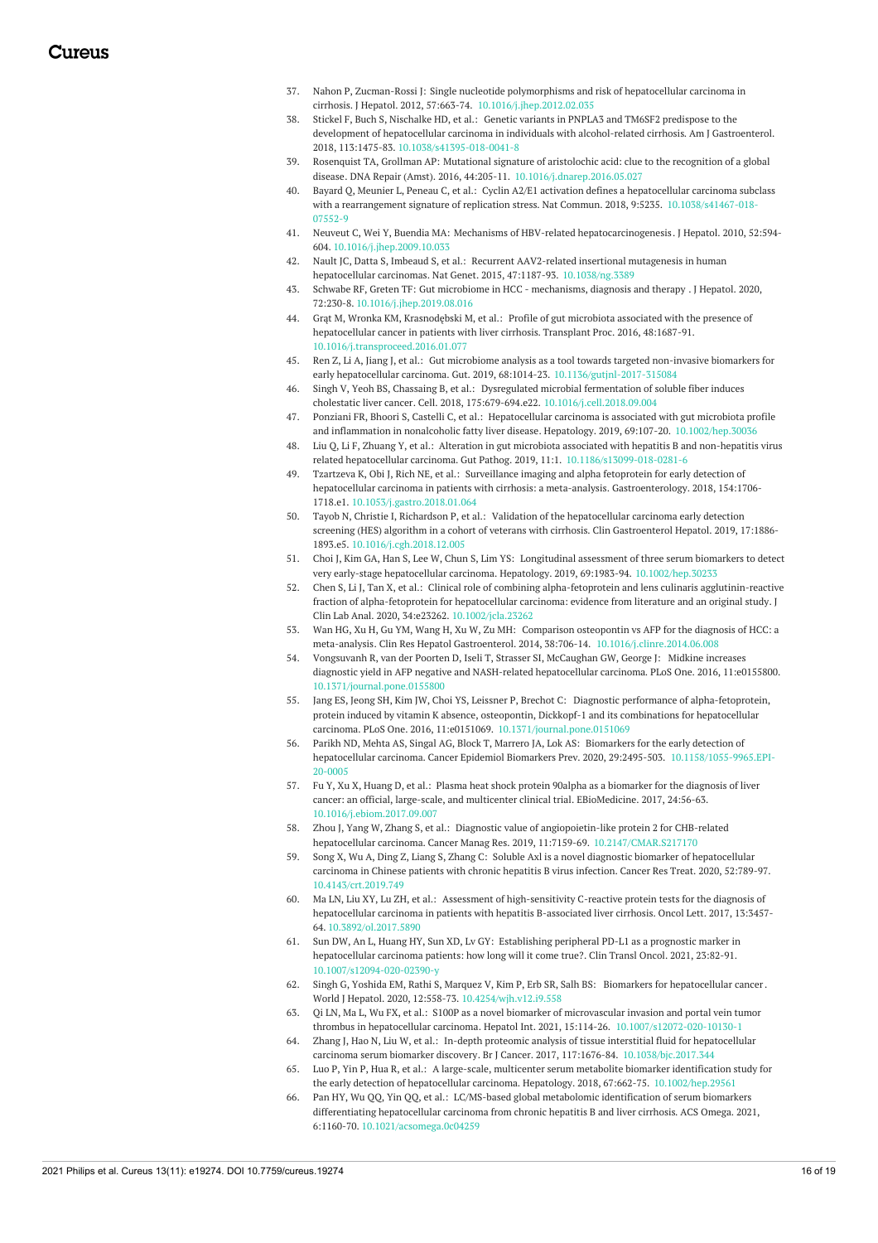- 37. Nahon P, Zucman-Rossi J: Single nucleotide polymorphisms and risk of hepatocellular carcinoma in cirrhosis. J Hepatol. 2012, 57:663-74. [10.1016/j.jhep.2012.02.035](https://dx.doi.org/10.1016/j.jhep.2012.02.035)
- 38. Stickel F, Buch S, Nischalke HD, et al.: Genetic variants in PNPLA3 and TM6SF2 predispose to the development of hepatocellular carcinoma in individuals with [alcohol-related](https://dx.doi.org/10.1038/s41395-018-0041-8) cirrhosis. Am J Gastroenterol. 2018, 113:1475-83. [10.1038/s41395-018-0041-8](https://dx.doi.org/10.1038/s41395-018-0041-8)
- 39. Rosenquist TA, Grollman AP: Mutational signature of aristolochic acid: clue to the recognition of a global disease. DNA Repair (Amst). 2016, 44:205-11. [10.1016/j.dnarep.2016.05.027](https://dx.doi.org/10.1016/j.dnarep.2016.05.027)
- 40. Bayard Q, Meunier L, Peneau C, et al.: Cyclin A2/E1 activation defines a hepatocellular carcinoma subclass with a rearrangement signature of replication stress. Nat Commun. 2018, 9:5235. [10.1038/s41467-018-](https://dx.doi.org/10.1038/s41467-018-07552-9) 07552-9
- 41. Neuveut C, Wei Y, Buendia MA: Mechanisms of HBV-related [hepatocarcinogenesis](https://dx.doi.org/10.1016/j.jhep.2009.10.033). J Hepatol. 2010, 52:594- 604. [10.1016/j.jhep.2009.10.033](https://dx.doi.org/10.1016/j.jhep.2009.10.033)
- 42. Nault JC, Datta S, Imbeaud S, et al.: Recurrent AAV2-related insertional mutagenesis in human hepatocellular carcinomas. Nat Genet. 2015, 47:1187-93. [10.1038/ng.3389](https://dx.doi.org/10.1038/ng.3389)
- 43. Schwabe RF, Greten TF: Gut microbiome in HCC [mechanisms,](https://dx.doi.org/10.1016/j.jhep.2019.08.016) diagnosis and therapy . J Hepatol. 2020, 72:230-8. [10.1016/j.jhep.2019.08.016](https://dx.doi.org/10.1016/j.jhep.2019.08.016)
- 44. Grąt M, Wronka KM, Krasnodębski M, et al.: Profile of gut microbiota associated with the presence of [hepatocellular](https://dx.doi.org/10.1016/j.transproceed.2016.01.077) cancer in patients with liver cirrhosis. Transplant Proc. 2016, 48:1687-91. [10.1016/j.transproceed.2016.01.077](https://dx.doi.org/10.1016/j.transproceed.2016.01.077)
- 45. Ren Z, Li A, Jiang J, et al.: Gut microbiome analysis as a tool towards targeted non-invasive biomarkers for early hepatocellular carcinoma. Gut. 2019, 68:1014-23. [10.1136/gutjnl-2017-315084](https://dx.doi.org/10.1136/gutjnl-2017-315084)
- 46. Singh V, Yeoh BS, Chassaing B, et al.: Dysregulated microbial fermentation of soluble fiber induces cholestatic liver cancer. Cell. 2018, 175:679-694.e22. [10.1016/j.cell.2018.09.004](https://dx.doi.org/10.1016/j.cell.2018.09.004)
- 47. Ponziani FR, Bhoori S, Castelli C, et al.: Hepatocellular carcinoma is associated with gut microbiota profile and inflammation in nonalcoholic fatty liver disease. Hepatology. 2019, 69:107-20. [10.1002/hep.30036](https://dx.doi.org/10.1002/hep.30036)
- 48. Liu Q, Li F, Zhuang Y, et al.: Alteration in gut microbiota associated with hepatitis B and non-hepatitis virus related hepatocellular carcinoma. Gut Pathog. 2019, 11:1. [10.1186/s13099-018-0281-6](https://dx.doi.org/10.1186/s13099-018-0281-6)
- 49. Tzartzeva K, Obi J, Rich NE, et al.: Surveillance imaging and alpha fetoprotein for early detection of hepatocellular carcinoma in patients with cirrhosis: a meta-analysis. [Gastroenterology.](https://dx.doi.org/10.1053/j.gastro.2018.01.064) 2018, 154:1706- 1718.e1. [10.1053/j.gastro.2018.01.064](https://dx.doi.org/10.1053/j.gastro.2018.01.064)
- 50. Tayob N, Christie I, Richardson P, et al.: Validation of the [hepatocellular](https://dx.doi.org/10.1016/j.cgh.2018.12.005) carcinoma early detection screening (HES) algorithm in a cohort of veterans with cirrhosis. Clin Gastroenterol Hepatol. 2019, 17:1886- 1893.e5. [10.1016/j.cgh.2018.12.005](https://dx.doi.org/10.1016/j.cgh.2018.12.005)
- 51. Choi J, Kim GA, Han S, Lee W, Chun S, Lim YS: Longitudinal assessment of three serum biomarkers to detect very early-stage hepatocellular carcinoma. Hepatology. 2019, 69:1983-94. [10.1002/hep.30233](https://dx.doi.org/10.1002/hep.30233)
- 52. Chen S, Li J, Tan X, et al.: Clinical role of combining alpha-fetoprotein and lens culinaris [agglutinin-reactive](https://dx.doi.org/10.1002/jcla.23262) fraction of alpha-fetoprotein for hepatocellular carcinoma: evidence from literature and an original study. J Clin Lab Anal. 2020, 34:e23262. [10.1002/jcla.23262](https://dx.doi.org/10.1002/jcla.23262)
- 53. Wan HG, Xu H, Gu YM, Wang H, Xu W, Zu MH: Comparison osteopontin vs AFP for the diagnosis of HCC: a meta-analysis. Clin Res Hepatol Gastroenterol. 2014, 38:706-14. [10.1016/j.clinre.2014.06.008](https://dx.doi.org/10.1016/j.clinre.2014.06.008)
- 54. Vongsuvanh R, van der Poorten D, Iseli T, Strasser SI, McCaughan GW, George J: Midkine increases diagnostic yield in AFP negative and NASH-related [hepatocellular](https://dx.doi.org/10.1371/journal.pone.0155800) carcinoma. PLoS One. 2016, 11:e0155800. [10.1371/journal.pone.0155800](https://dx.doi.org/10.1371/journal.pone.0155800)
- 55. Jang ES, Jeong SH, Kim JW, Choi YS, Leissner P, Brechot C: Diagnostic performance of alpha-fetoprotein, protein induced by vitamin K absence, osteopontin, Dickkopf-1 and its combinations for hepatocellular carcinoma. PLoS One. 2016, 11:e0151069. [10.1371/journal.pone.0151069](https://dx.doi.org/10.1371/journal.pone.0151069)
- 56. Parikh ND, Mehta AS, Singal AG, Block T, Marrero JA, Lok AS: Biomarkers for the early detection of hepatocellular carcinoma. Cancer Epidemiol Biomarkers Prev. 2020, 29:2495-503. [10.1158/1055-9965.EPI-](https://dx.doi.org/10.1158/1055-9965.EPI-20-0005)20-0005
- 57. Fu Y, Xu X, Huang D, et al.: Plasma heat shock protein 90alpha as a biomarker for the diagnosis of liver cancer: an official, large-scale, and multicenter clinical trial. [EBioMedicine.](https://dx.doi.org/10.1016/j.ebiom.2017.09.007) 2017, 24:56-63. [10.1016/j.ebiom.2017.09.007](https://dx.doi.org/10.1016/j.ebiom.2017.09.007)
- 58. Zhou J, Yang W, Zhang S, et al.: Diagnostic value of angiopoietin-like protein 2 for CHB-related hepatocellular carcinoma. Cancer Manag Res. 2019, 11:7159-69. [10.2147/CMAR.S217170](https://dx.doi.org/10.2147/CMAR.S217170)
- 59. Song X, Wu A, Ding Z, Liang S, Zhang C: Soluble Axl is a novel diagnostic biomarker of [hepatocellular](https://dx.doi.org/10.4143/crt.2019.749) carcinoma in Chinese patients with chronic hepatitis B virus infection. Cancer Res Treat. 2020, 52:789-97. [10.4143/crt.2019.749](https://dx.doi.org/10.4143/crt.2019.749)
- 60. Ma LN, Liu XY, Lu ZH, et al.: Assessment of [high-sensitivity](https://dx.doi.org/10.3892/ol.2017.5890) C-reactive protein tests for the diagnosis of hepatocellular carcinoma in patients with hepatitis B-associated liver cirrhosis. Oncol Lett. 2017, 13:3457- 64. [10.3892/ol.2017.5890](https://dx.doi.org/10.3892/ol.2017.5890)
- 61. Sun DW, An L, Huang HY, Sun XD, Lv GY: Establishing peripheral PD-L1 as a prognostic marker in [hepatocellular](https://dx.doi.org/10.1007/s12094-020-02390-y) carcinoma patients: how long will it come true?. Clin Transl Oncol. 2021, 23:82-91. [10.1007/s12094-020-02390-y](https://dx.doi.org/10.1007/s12094-020-02390-y)
- 62. Singh G, Yoshida EM, Rathi S, Marquez V, Kim P, Erb SR, Salh BS: Biomarkers for [hepatocellular](https://dx.doi.org/10.4254/wjh.v12.i9.558) cancer. World J Hepatol. 2020, 12:558-73. [10.4254/wjh.v12.i9.558](https://dx.doi.org/10.4254/wjh.v12.i9.558)
- 63. Qi LN, Ma L, Wu FX, et al.: S100P as a novel biomarker of microvascular invasion and portal vein tumor thrombus in hepatocellular carcinoma. Hepatol Int. 2021, 15:114-26. [10.1007/s12072-020-10130-1](https://dx.doi.org/10.1007/s12072-020-10130-1)
- 64. Zhang J, Hao N, Liu W, et al.: In-depth proteomic analysis of tissue interstitial fluid for hepatocellular carcinoma serum biomarker discovery. Br J Cancer. 2017, 117:1676-84. [10.1038/bjc.2017.344](https://dx.doi.org/10.1038/bjc.2017.344)
- 65. Luo P, Yin P, Hua R, et al.: A large-scale, multicenter serum metabolite biomarker identification study for the early detection of hepatocellular carcinoma. Hepatology. 2018, 67:662-75. [10.1002/hep.29561](https://dx.doi.org/10.1002/hep.29561)
- Pan HY, Wu QQ, Yin QQ, et al.: LC/MS-based global metabolomic identification of serum biomarkers [differentiating](https://dx.doi.org/10.1021/acsomega.0c04259) hepatocellular carcinoma from chronic hepatitis B and liver cirrhosis. ACS Omega. 2021, 6:1160-70. [10.1021/acsomega.0c04259](https://dx.doi.org/10.1021/acsomega.0c04259)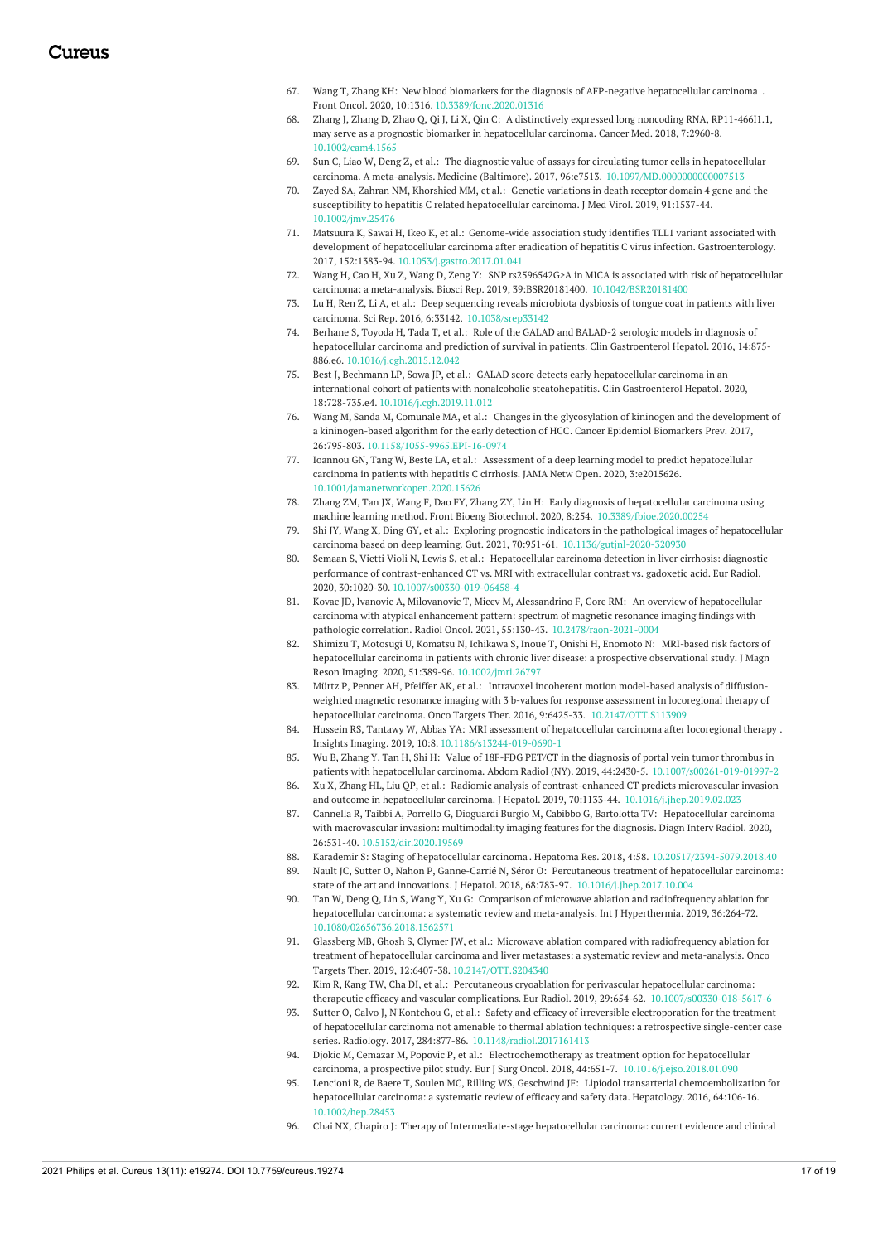- 67. Wang T, Zhang KH: New blood biomarkers for the diagnosis of AFP-negative [hepatocellular](https://dx.doi.org/10.3389/fonc.2020.01316) carcinoma . Front Oncol. 2020, 10:1316. [10.3389/fonc.2020.01316](https://dx.doi.org/10.3389/fonc.2020.01316)
- 68. Zhang J, Zhang D, Zhao Q, Qi J, Li X, Qin C: A distinctively expressed long noncoding RNA, [RP11-466I1.1,](https://dx.doi.org/10.1002/cam4.1565) may serve as a prognostic biomarker in hepatocellular carcinoma. Cancer Med. 2018, 7:2960-8. [10.1002/cam4.1565](https://dx.doi.org/10.1002/cam4.1565)
- 69. Sun C, Liao W, Deng Z, et al.: The diagnostic value of assays for circulating tumor cells in hepatocellular carcinoma. A meta-analysis. Medicine (Baltimore). 2017, 96:e7513. [10.1097/MD.0000000000007513](https://dx.doi.org/10.1097/MD.0000000000007513)
- 70. Zayed SA, Zahran NM, Khorshied MM, et al.: Genetic variations in death receptor domain 4 gene and the susceptibility to hepatitis C related [hepatocellular](https://dx.doi.org/10.1002/jmv.25476) carcinoma. J Med Virol. 2019, 91:1537-44. [10.1002/jmv.25476](https://dx.doi.org/10.1002/jmv.25476)
- 71. Matsuura K, Sawai H, Ikeo K, et al.: Genome-wide association study identifies TLL1 variant associated with development of hepatocellular carcinoma after eradication of hepatitis C virus infection. [Gastroenterology.](https://dx.doi.org/10.1053/j.gastro.2017.01.041) 2017, 152:1383-94. [10.1053/j.gastro.2017.01.041](https://dx.doi.org/10.1053/j.gastro.2017.01.041)
- 72. Wang H, Cao H, Xu Z, Wang D, Zeng Y: SNP rs2596542G>A in MICA is associated with risk of hepatocellular carcinoma: a meta-analysis. Biosci Rep. 2019, 39:BSR20181400. [10.1042/BSR20181400](https://dx.doi.org/10.1042/BSR20181400)
- 73. Lu H, Ren Z, Li A, et al.: Deep sequencing reveals microbiota dysbiosis of tongue coat in patients with liver carcinoma. Sci Rep. 2016, 6:33142. [10.1038/srep33142](https://dx.doi.org/10.1038/srep33142)
- 74. Berhane S, Toyoda H, Tada T, et al.: Role of the GALAD and BALAD-2 serologic models in diagnosis of [hepatocellular](https://dx.doi.org/10.1016/j.cgh.2015.12.042) carcinoma and prediction of survival in patients. Clin Gastroenterol Hepatol. 2016, 14:875- 886.e6. [10.1016/j.cgh.2015.12.042](https://dx.doi.org/10.1016/j.cgh.2015.12.042)
- 75. Best J, Bechmann LP, Sowa JP, et al.: GALAD score detects early hepatocellular carcinoma in an international cohort of patients with nonalcoholic [steatohepatitis.](https://dx.doi.org/10.1016/j.cgh.2019.11.012) Clin Gastroenterol Hepatol. 2020, 18:728-735.e4. [10.1016/j.cgh.2019.11.012](https://dx.doi.org/10.1016/j.cgh.2019.11.012)
- 76. Wang M, Sanda M, Comunale MA, et al.: Changes in the glycosylation of kininogen and the development of a [kininogen-based](https://dx.doi.org/10.1158/1055-9965.EPI-16-0974) algorithm for the early detection of HCC. Cancer Epidemiol Biomarkers Prev. 2017, 26:795-803. [10.1158/1055-9965.EPI-16-0974](https://dx.doi.org/10.1158/1055-9965.EPI-16-0974)
- 77. Ioannou GN, Tang W, Beste LA, et al.: Assessment of a deep learning model to predict [hepatocellular](https://dx.doi.org/10.1001/jamanetworkopen.2020.15626) carcinoma in patients with hepatitis C cirrhosis. JAMA Netw Open. 2020, 3:e2015626. [10.1001/jamanetworkopen.2020.15626](https://dx.doi.org/10.1001/jamanetworkopen.2020.15626)
- 78. Zhang ZM, Tan JX, Wang F, Dao FY, Zhang ZY, Lin H: Early diagnosis of hepatocellular carcinoma using machine learning method. Front Bioeng Biotechnol. 2020, 8:254. [10.3389/fbioe.2020.00254](https://dx.doi.org/10.3389/fbioe.2020.00254)
- 79. Shi JY, Wang X, Ding GY, et al.: Exploring prognostic indicators in the pathological images of hepatocellular carcinoma based on deep learning. Gut. 2021, 70:951-61. [10.1136/gutjnl-2020-320930](https://dx.doi.org/10.1136/gutjnl-2020-320930)
- 80. Semaan S, Vietti Violi N, Lewis S, et al.: Hepatocellular carcinoma detection in liver cirrhosis: diagnostic performance of [contrast-enhanced](https://dx.doi.org/10.1007/s00330-019-06458-4) CT vs. MRI with extracellular contrast vs. gadoxetic acid. Eur Radiol. 2020, 30:1020-30. [10.1007/s00330-019-06458-4](https://dx.doi.org/10.1007/s00330-019-06458-4)
- 81. Kovac JD, Ivanovic A, Milovanovic T, Micev M, Alessandrino F, Gore RM: An overview of hepatocellular carcinoma with atypical enhancement pattern: spectrum of magnetic resonance imaging findings with pathologic correlation. Radiol Oncol. 2021, 55:130-43. [10.2478/raon-2021-0004](https://dx.doi.org/10.2478/raon-2021-0004)
- 82. Shimizu T, Motosugi U, Komatsu N, Ichikawa S, Inoue T, Onishi H, Enomoto N: MRI-based risk factors of [hepatocellular](https://dx.doi.org/10.1002/jmri.26797) carcinoma in patients with chronic liver disease: a prospective observational study. J Magn Reson Imaging. 2020, 51:389-96. [10.1002/jmri.26797](https://dx.doi.org/10.1002/jmri.26797)
- 83. Mürtz P, Penner AH, Pfeiffer AK, et al.: Intravoxel incoherent motion model-based analysis of diffusionweighted magnetic resonance imaging with 3 b-values for response assessment in locoregional therapy of hepatocellular carcinoma. Onco Targets Ther. 2016, 9:6425-33. [10.2147/OTT.S113909](https://dx.doi.org/10.2147/OTT.S113909)
- 84. Hussein RS, Tantawy W, Abbas YA: MRI assessment of [hepatocellular](https://dx.doi.org/10.1186/s13244-019-0690-1) carcinoma after locoregional therapy . Insights Imaging. 2019, 10:8. [10.1186/s13244-019-0690-1](https://dx.doi.org/10.1186/s13244-019-0690-1)
- 85. Wu B, Zhang Y, Tan H, Shi H: Value of 18F-FDG PET/CT in the diagnosis of portal vein tumor thrombus in patients with hepatocellular carcinoma. Abdom Radiol (NY). 2019, 44:2430-5. [10.1007/s00261-019-01997-2](https://dx.doi.org/10.1007/s00261-019-01997-2)
- 86. Xu X, Zhang HL, Liu QP, et al.: Radiomic analysis of contrast-enhanced CT predicts microvascular invasion and outcome in hepatocellular carcinoma. J Hepatol. 2019, 70:1133-44. [10.1016/j.jhep.2019.02.023](https://dx.doi.org/10.1016/j.jhep.2019.02.023)
- 87. Cannella R, Taibbi A, Porrello G, Dioguardi Burgio M, Cabibbo G, Bartolotta TV: [Hepatocellular](https://dx.doi.org/10.5152/dir.2020.19569) carcinoma with macrovascular invasion: multimodality imaging features for the diagnosis. Diagn Interv Radiol. 2020, 26:531-40. [10.5152/dir.2020.19569](https://dx.doi.org/10.5152/dir.2020.19569)
- 88. Karademir S: Staging of [hepatocellular](https://dx.doi.org/10.20517/2394-5079.2018.40) carcinoma . Hepatoma Res. 2018, 4:58. [10.20517/2394-5079.2018.40](https://dx.doi.org/10.20517/2394-5079.2018.40)
- 89. Nault JC, Sutter O, Nahon P, Ganne-Carrié N, Séror O: Percutaneous treatment of hepatocellular carcinoma: state of the art and innovations. J Hepatol. 2018, 68:783-97. [10.1016/j.jhep.2017.10.004](https://dx.doi.org/10.1016/j.jhep.2017.10.004)
- 90. Tan W, Deng Q, Lin S, Wang Y, Xu G: Comparison of microwave ablation and [radiofrequency](https://dx.doi.org/10.1080/02656736.2018.1562571) ablation for hepatocellular carcinoma: a systematic review and meta-analysis. Int J Hyperthermia. 2019, 36:264-72. [10.1080/02656736.2018.1562571](https://dx.doi.org/10.1080/02656736.2018.1562571)
- 91. Glassberg MB, Ghosh S, Clymer JW, et al.: Microwave ablation compared with [radiofrequency](https://dx.doi.org/10.2147/OTT.S204340) ablation for treatment of hepatocellular carcinoma and liver metastases: a systematic review and meta-analysis. Onco Targets Ther. 2019, 12:6407-38. [10.2147/OTT.S204340](https://dx.doi.org/10.2147/OTT.S204340)
- 92. Kim R, Kang TW, Cha DI, et al.: Percutaneous cryoablation for perivascular hepatocellular carcinoma: therapeutic efficacy and vascular complications. Eur Radiol. 2019, 29:654-62. [10.1007/s00330-018-5617-6](https://dx.doi.org/10.1007/s00330-018-5617-6)
- 93. Sutter O, Calvo J, N'Kontchou G, et al.: Safety and efficacy of irreversible electroporation for the treatment of hepatocellular carcinoma not amenable to thermal ablation techniques: a retrospective single-center case series. Radiology. 2017, 284:877-86. [10.1148/radiol.2017161413](https://dx.doi.org/10.1148/radiol.2017161413)
- 94. Djokic M, Cemazar M, Popovic P, et al.: Electrochemotherapy as treatment option for hepatocellular carcinoma, a prospective pilot study. Eur J Surg Oncol. 2018, 44:651-7. [10.1016/j.ejso.2018.01.090](https://dx.doi.org/10.1016/j.ejso.2018.01.090)
- 95. Lencioni R, de Baere T, Soulen MC, Rilling WS, Geschwind JF: Lipiodol transarterial [chemoembolization](https://dx.doi.org/10.1002/hep.28453) for hepatocellular carcinoma: a systematic review of efficacy and safety data. Hepatology. 2016, 64:106-16. [10.1002/hep.28453](https://dx.doi.org/10.1002/hep.28453)
- 96. Chai NX, Chapiro J: Therapy of [Intermediate-stage](https://dx.doi.org/10.1055/s-0040-1719186) hepatocellular carcinoma: current evidence and clinical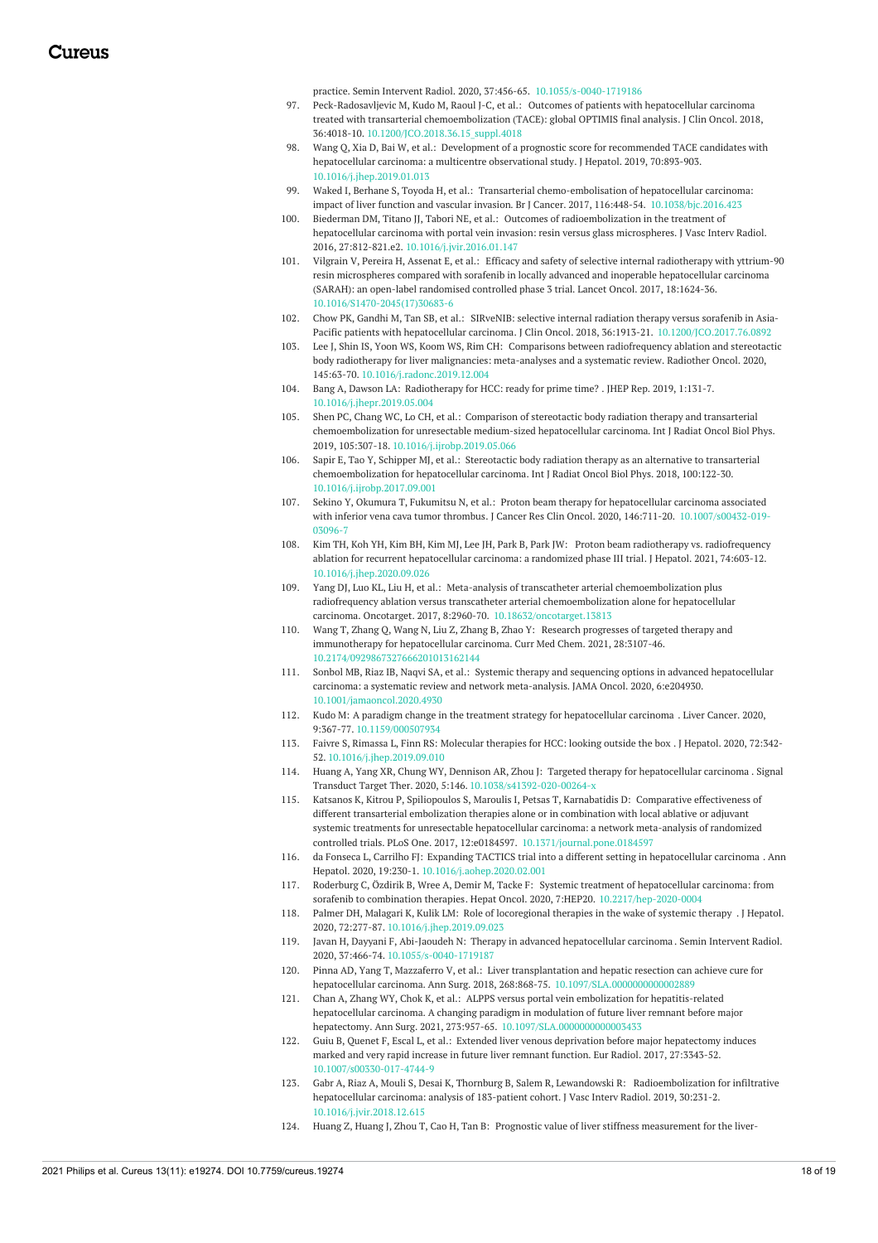practice. Semin Intervent Radiol. 2020, 37:456-65. [10.1055/s-0040-1719186](https://dx.doi.org/10.1055/s-0040-1719186)

- 97. Peck-Radosavljevic M, Kudo M, Raoul J-C, et al.: Outcomes of patients with hepatocellular carcinoma treated with transarterial [chemoembolization](https://dx.doi.org/10.1200/JCO.2018.36.15_suppl.4018) (TACE): global OPTIMIS final analysis. J Clin Oncol. 2018, 36:4018-10. [10.1200/JCO.2018.36.15\\_suppl.4018](https://dx.doi.org/10.1200/JCO.2018.36.15_suppl.4018)
- 98. Wang Q, Xia D, Bai W, et al.: Development of a prognostic score for recommended TACE candidates with [hepatocellular](https://dx.doi.org/10.1016/j.jhep.2019.01.013) carcinoma: a multicentre observational study. J Hepatol. 2019, 70:893-903. [10.1016/j.jhep.2019.01.013](https://dx.doi.org/10.1016/j.jhep.2019.01.013)
- 99. Waked I, Berhane S, Toyoda H, et al.: Transarterial [chemo-embolisation](https://dx.doi.org/10.1038/bjc.2016.423) of hepatocellular carcinoma: impact of liver function and vascular invasion. Br J Cancer. 2017, 116:448-54. [10.1038/bjc.2016.423](https://dx.doi.org/10.1038/bjc.2016.423)
- 100. Biederman DM, Titano JJ, Tabori NE, et al.: Outcomes of [radioembolization](https://dx.doi.org/10.1016/j.jvir.2016.01.147) in the treatment of hepatocellular carcinoma with portal vein invasion: resin versus glass microspheres. J Vasc Interv Radiol. 2016, 27:812-821.e2. [10.1016/j.jvir.2016.01.147](https://dx.doi.org/10.1016/j.jvir.2016.01.147)
- 101. Vilgrain V, Pereira H, Assenat E, et al.: Efficacy and safety of selective internal radiotherapy with yttrium-90 resin microspheres compared with sorafenib in locally advanced and inoperable [hepatocellular](https://dx.doi.org/10.1016/S1470-2045(17)30683-6) carcinoma (SARAH): an open-label randomised controlled phase 3 trial. Lancet Oncol. 2017, 18:1624-36. [10.1016/S1470-2045\(17\)30683-6](https://dx.doi.org/10.1016/S1470-2045(17)30683-6)
- 102. Chow PK, Gandhi M, Tan SB, et al.: SIRveNIB: selective internal radiation therapy versus sorafenib in Asia-Pacific patients with hepatocellular carcinoma. J Clin Oncol. 2018, 36:1913-21. [10.1200/JCO.2017.76.0892](https://dx.doi.org/10.1200/JCO.2017.76.0892)
- 103. Lee J, Shin IS, Yoon WS, Koom WS, Rim CH: Comparisons between [radiofrequency](https://dx.doi.org/10.1016/j.radonc.2019.12.004) ablation and stereotactic body radiotherapy for liver malignancies: meta-analyses and a systematic review. Radiother Oncol. 2020, 145:63-70. [10.1016/j.radonc.2019.12.004](https://dx.doi.org/10.1016/j.radonc.2019.12.004)
- 104. Bang A, Dawson LA: [Radiotherapy](https://dx.doi.org/10.1016/j.jhepr.2019.05.004) for HCC: ready for prime time? . JHEP Rep. 2019, 1:131-7. [10.1016/j.jhepr.2019.05.004](https://dx.doi.org/10.1016/j.jhepr.2019.05.004)
- 105. Shen PC, Chang WC, Lo CH, et al.: Comparison of stereotactic body radiation therapy and transarterial [chemoembolization](https://dx.doi.org/10.1016/j.ijrobp.2019.05.066) for unresectable medium-sized hepatocellular carcinoma. Int J Radiat Oncol Biol Phys. 2019, 105:307-18. [10.1016/j.ijrobp.2019.05.066](https://dx.doi.org/10.1016/j.ijrobp.2019.05.066)
- 106. Sapir E, Tao Y, Schipper MJ, et al.: Stereotactic body radiation therapy as an alternative to transarterial [chemoembolization](https://dx.doi.org/10.1016/j.ijrobp.2017.09.001) for hepatocellular carcinoma. Int J Radiat Oncol Biol Phys. 2018, 100:122-30. [10.1016/j.ijrobp.2017.09.001](https://dx.doi.org/10.1016/j.ijrobp.2017.09.001)
- 107. Sekino Y, Okumura T, Fukumitsu N, et al.: Proton beam therapy for hepatocellular carcinoma associated with inferior vena cava tumor thrombus. J Cancer Res Clin Oncol. 2020, 146:711-20. [10.1007/s00432-019-](https://dx.doi.org/10.1007/s00432-019-03096-7) 03096-
- 108. Kim TH, Koh YH, Kim BH, Kim MJ, Lee JH, Park B, Park JW: Proton beam radiotherapy vs. [radiofrequency](https://dx.doi.org/10.1016/j.jhep.2020.09.026) ablation for recurrent hepatocellular carcinoma: a randomized phase III trial. J Hepatol. 2021, 74:603-12. [10.1016/j.jhep.2020.09.026](https://dx.doi.org/10.1016/j.jhep.2020.09.026)
- 109. Yang DJ, Luo KL, Liu H, et al.: Meta-analysis of transcatheter arterial chemoembolization plus radiofrequency ablation versus transcatheter arterial chemoembolization alone for hepatocellular carcinoma. Oncotarget. 2017, 8:2960-70. [10.18632/oncotarget.13813](https://dx.doi.org/10.18632/oncotarget.13813)
- 110. Wang T, Zhang Q, Wang N, Liu Z, Zhang B, Zhao Y: Research progresses of targeted therapy and [immunotherapy](https://dx.doi.org/10.2174/0929867327666201013162144) for hepatocellular carcinoma. Curr Med Chem. 2021, 28:3107-46. [10.2174/0929867327666201013162144](https://dx.doi.org/10.2174/0929867327666201013162144)
- 111. Sonbol MB, Riaz IB, Naqvi SA, et al.: Systemic therapy and sequencing options in advanced hepatocellular carcinoma: a systematic review and network [meta-analysis.](https://dx.doi.org/10.1001/jamaoncol.2020.4930) JAMA Oncol. 2020, 6:e204930. [10.1001/jamaoncol.2020.4930](https://dx.doi.org/10.1001/jamaoncol.2020.4930)
- 112. Kudo M: A paradigm change in the treatment strategy for [hepatocellular](https://dx.doi.org/10.1159/000507934) carcinoma . Liver Cancer. 2020, 9:367-77. [10.1159/000507934](https://dx.doi.org/10.1159/000507934)
- 113. Faivre S, Rimassa L, Finn RS: [Molecular](https://dx.doi.org/10.1016/j.jhep.2019.09.010) therapies for HCC: looking outside the box . J Hepatol. 2020, 72:342- 52. [10.1016/j.jhep.2019.09.010](https://dx.doi.org/10.1016/j.jhep.2019.09.010)
- 114. Huang A, Yang XR, Chung WY, Dennison AR, Zhou J: Targeted therapy for [hepatocellular](https://dx.doi.org/10.1038/s41392-020-00264-x) carcinoma . Signal Transduct Target Ther. 2020, 5:146. [10.1038/s41392-020-00264-x](https://dx.doi.org/10.1038/s41392-020-00264-x)
- 115. Katsanos K, Kitrou P, Spiliopoulos S, Maroulis I, Petsas T, Karnabatidis D: Comparative effectiveness of different transarterial embolization therapies alone or in combination with local ablative or adjuvant systemic treatments for unresectable hepatocellular carcinoma: a network meta-analysis of randomized controlled trials. PLoS One. 2017, 12:e0184597. [10.1371/journal.pone.0184597](https://dx.doi.org/10.1371/journal.pone.0184597)
- 116. da Fonseca L, Carrilho FJ: Expanding TACTICS trial into a different setting in [hepatocellular](https://dx.doi.org/10.1016/j.aohep.2020.02.001) carcinoma . Ann Hepatol. 2020, 19:230-1. [10.1016/j.aohep.2020.02.001](https://dx.doi.org/10.1016/j.aohep.2020.02.001)
- 117. Roderburg C, Özdirik B, Wree A, Demir M, Tacke F: Systemic treatment of hepatocellular carcinoma: from sorafenib to combination therapies. Hepat Oncol. 2020, 7:HEP20. [10.2217/hep-2020-0004](https://dx.doi.org/10.2217/hep-2020-0004)
- 118. Palmer DH, Malagari K, Kulik LM: Role of [locoregional](https://dx.doi.org/10.1016/j.jhep.2019.09.023) therapies in the wake of systemic therapy . J Hepatol. 2020, 72:277-87. [10.1016/j.jhep.2019.09.023](https://dx.doi.org/10.1016/j.jhep.2019.09.023)
- 119. Javan H, Dayyani F, Abi-Jaoudeh N: Therapy in advanced [hepatocellular](https://dx.doi.org/10.1055/s-0040-1719187) carcinoma . Semin Intervent Radiol. 2020, 37:466-74. [10.1055/s-0040-1719187](https://dx.doi.org/10.1055/s-0040-1719187)
- 120. Pinna AD, Yang T, Mazzaferro V, et al.: Liver transplantation and hepatic resection can achieve cure for hepatocellular carcinoma. Ann Surg. 2018, 268:868-75. [10.1097/SLA.0000000000002889](https://dx.doi.org/10.1097/SLA.0000000000002889)
- 121. Chan A, Zhang WY, Chok K, et al.: ALPPS versus portal vein embolization for hepatitis-related hepatocellular carcinoma. A changing paradigm in modulation of future liver remnant before major hepatectomy. Ann Surg. 2021, 273:957-65. [10.1097/SLA.0000000000003433](https://dx.doi.org/10.1097/SLA.0000000000003433)
- 122. Guiu B, Quenet F, Escal L, et al.: Extended liver venous deprivation before major [hepatectomy](https://dx.doi.org/10.1007/s00330-017-4744-9) induces marked and very rapid increase in future liver remnant function. Eur Radiol. 2017, 27:3343-52. [10.1007/s00330-017-4744-9](https://dx.doi.org/10.1007/s00330-017-4744-9)
- 123. Gabr A, Riaz A, Mouli S, Desai K, Thornburg B, Salem R, Lewandowski R: [Radioembolization](https://dx.doi.org/10.1016/j.jvir.2018.12.615) for infiltrative hepatocellular carcinoma: analysis of 183-patient cohort. J Vasc Interv Radiol. 2019, 30:231-2. [10.1016/j.jvir.2018.12.615](https://dx.doi.org/10.1016/j.jvir.2018.12.615)
- 124. Huang Z, Huang J, Zhou T, Cao H, Tan B: Prognostic value of liver stiffness [measurement](https://dx.doi.org/10.1371/journal.pone.0190512) for the liver-